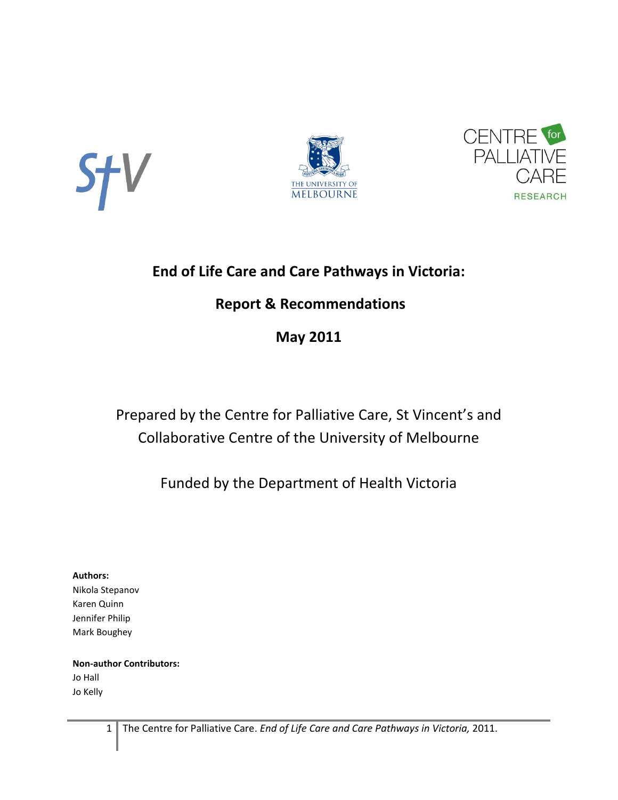





# **End of Life Care and Care Pathways in Victoria:**

# **Report & Recommendations**

# **May 2011**

# Prepared by the Centre for Palliative Care, St Vincent's and Collaborative Centre of the University of Melbourne

# Funded by the Department of Health Victoria

### **Authors:**

Nikola Stepanov Karen Quinn Jennifer Philip Mark Boughey

### **Non-author Contributors:** Jo Hall Jo Kelly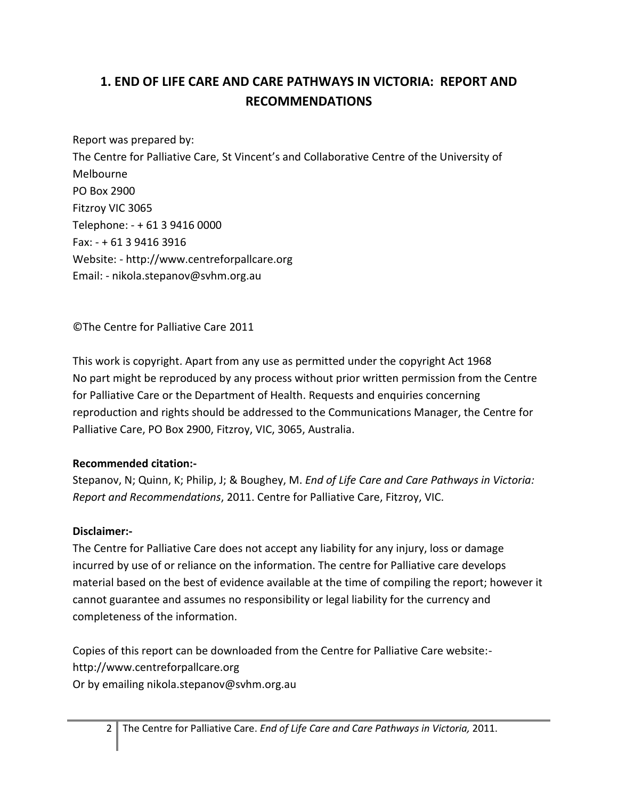# **1. END OF LIFE CARE AND CARE PATHWAYS IN VICTORIA: REPORT AND RECOMMENDATIONS**

Report was prepared by: The Centre for Palliative Care, St Vincent's and Collaborative Centre of the University of Melbourne PO Box 2900 Fitzroy VIC 3065 Telephone: - + 61 3 9416 0000 Fax: - + 61 3 9416 3916 Website: - http://www.centreforpallcare.org Email: - nikola.stepanov@svhm.org.au

©The Centre for Palliative Care 2011

This work is copyright. Apart from any use as permitted under the copyright Act 1968 No part might be reproduced by any process without prior written permission from the Centre for Palliative Care or the Department of Health. Requests and enquiries concerning reproduction and rights should be addressed to the Communications Manager, the Centre for Palliative Care, PO Box 2900, Fitzroy, VIC, 3065, Australia.

### **Recommended citation:-**

Stepanov, N; Quinn, K; Philip, J; & Boughey, M. *End of Life Care and Care Pathways in Victoria: Report and Recommendations*, 2011. Centre for Palliative Care, Fitzroy, VIC.

### **Disclaimer:-**

The Centre for Palliative Care does not accept any liability for any injury, loss or damage incurred by use of or reliance on the information. The centre for Palliative care develops material based on the best of evidence available at the time of compiling the report; however it cannot guarantee and assumes no responsibility or legal liability for the currency and completeness of the information.

Copies of this report can be downloaded from the Centre for Palliative Care website: http://www.centreforpallcare.org Or by emailing nikola.stepanov@svhm.org.au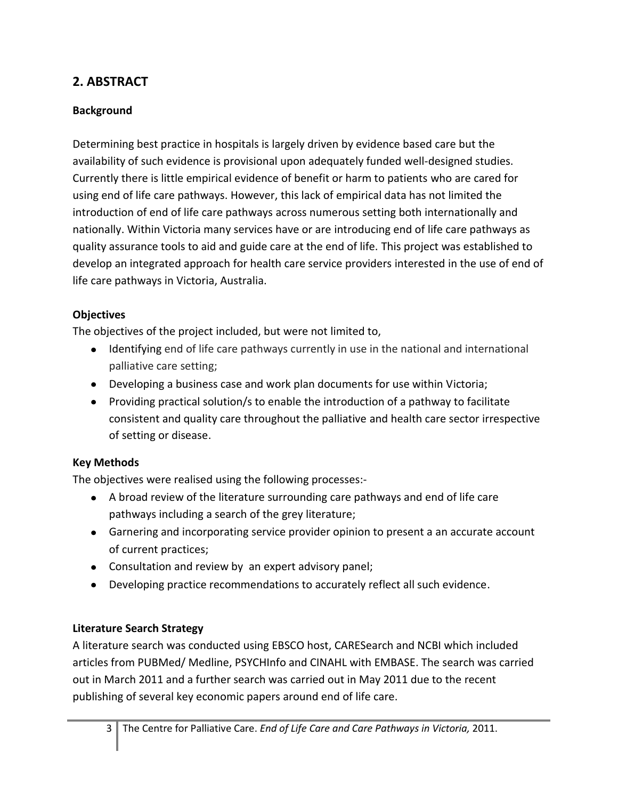# **2. ABSTRACT**

### **Background**

Determining best practice in hospitals is largely driven by evidence based care but the availability of such evidence is provisional upon adequately funded well-designed studies. Currently there is little empirical evidence of benefit or harm to patients who are cared for using end of life care pathways. However, this lack of empirical data has not limited the introduction of end of life care pathways across numerous setting both internationally and nationally. Within Victoria many services have or are introducing end of life care pathways as quality assurance tools to aid and guide care at the end of life. This project was established to develop an integrated approach for health care service providers interested in the use of end of life care pathways in Victoria, Australia.

### **Objectives**

The objectives of the project included, but were not limited to,

- Identifying end of life care pathways currently in use in the national and international palliative care setting;
- Developing a business case and work plan documents for use within Victoria;
- Providing practical solution/s to enable the introduction of a pathway to facilitate consistent and quality care throughout the palliative and health care sector irrespective of setting or disease.

### **Key Methods**

The objectives were realised using the following processes:-

- A broad review of the literature surrounding care pathways and end of life care pathways including a search of the grey literature;
- Garnering and incorporating service provider opinion to present a an accurate account of current practices;
- Consultation and review by an expert advisory panel;
- Developing practice recommendations to accurately reflect all such evidence.

### **Literature Search Strategy**

A literature search was conducted using EBSCO host, CARESearch and NCBI which included articles from PUBMed/ Medline, PSYCHInfo and CINAHL with EMBASE. The search was carried out in March 2011 and a further search was carried out in May 2011 due to the recent publishing of several key economic papers around end of life care.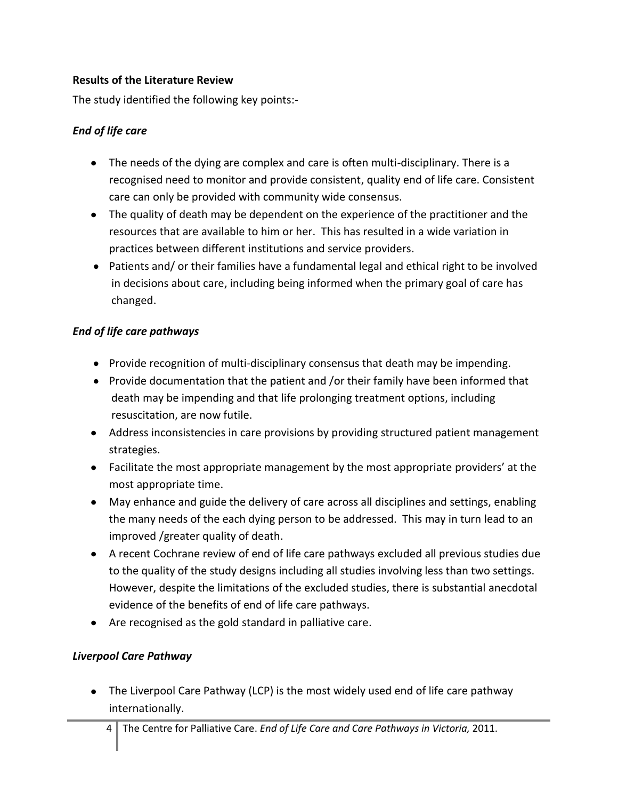### **Results of the Literature Review**

The study identified the following key points:-

### *End of life care*

- The needs of the dying are complex and care is often multi-disciplinary. There is a recognised need to monitor and provide consistent, quality end of life care. Consistent care can only be provided with community wide consensus.
- The quality of death may be dependent on the experience of the practitioner and the resources that are available to him or her. This has resulted in a wide variation in practices between different institutions and service providers.
- Patients and/ or their families have a fundamental legal and ethical right to be involved in decisions about care, including being informed when the primary goal of care has changed.

### *End of life care pathways*

- Provide recognition of multi-disciplinary consensus that death may be impending.
- Provide documentation that the patient and /or their family have been informed that death may be impending and that life prolonging treatment options, including resuscitation, are now futile.
- Address inconsistencies in care provisions by providing structured patient management strategies.
- Facilitate the most appropriate management by the most appropriate providers' at the most appropriate time.
- May enhance and guide the delivery of care across all disciplines and settings, enabling the many needs of the each dying person to be addressed. This may in turn lead to an improved /greater quality of death.
- A recent Cochrane review of end of life care pathways excluded all previous studies due to the quality of the study designs including all studies involving less than two settings. However, despite the limitations of the excluded studies, there is substantial anecdotal evidence of the benefits of end of life care pathways.
- Are recognised as the gold standard in palliative care.

### *Liverpool Care Pathway*

The Liverpool Care Pathway (LCP) is the most widely used end of life care pathway internationally.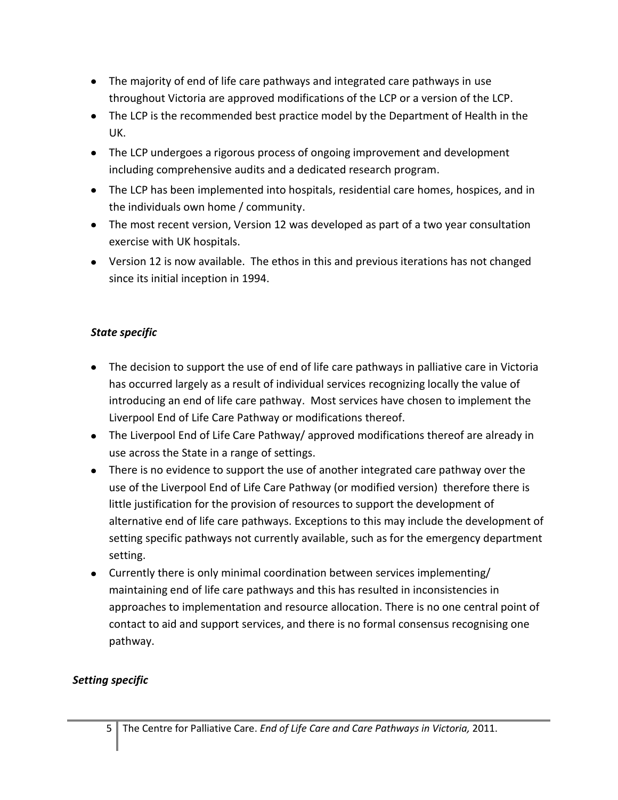- The majority of end of life care pathways and integrated care pathways in use throughout Victoria are approved modifications of the LCP or a version of the LCP.
- The LCP is the recommended best practice model by the Department of Health in the UK.
- The LCP undergoes a rigorous process of ongoing improvement and development including comprehensive audits and a dedicated research program.
- The LCP has been implemented into hospitals, residential care homes, hospices, and in the individuals own home / community.
- The most recent version, Version 12 was developed as part of a two year consultation exercise with UK hospitals.
- Version 12 is now available. The ethos in this and previous iterations has not changed since its initial inception in 1994.

## *State specific*

- The decision to support the use of end of life care pathways in palliative care in Victoria has occurred largely as a result of individual services recognizing locally the value of introducing an end of life care pathway. Most services have chosen to implement the Liverpool End of Life Care Pathway or modifications thereof.
- The Liverpool End of Life Care Pathway/ approved modifications thereof are already in use across the State in a range of settings.
- There is no evidence to support the use of another integrated care pathway over the use of the Liverpool End of Life Care Pathway (or modified version) therefore there is little justification for the provision of resources to support the development of alternative end of life care pathways. Exceptions to this may include the development of setting specific pathways not currently available, such as for the emergency department setting.
- Currently there is only minimal coordination between services implementing/ maintaining end of life care pathways and this has resulted in inconsistencies in approaches to implementation and resource allocation. There is no one central point of contact to aid and support services, and there is no formal consensus recognising one pathway.

# *Setting specific*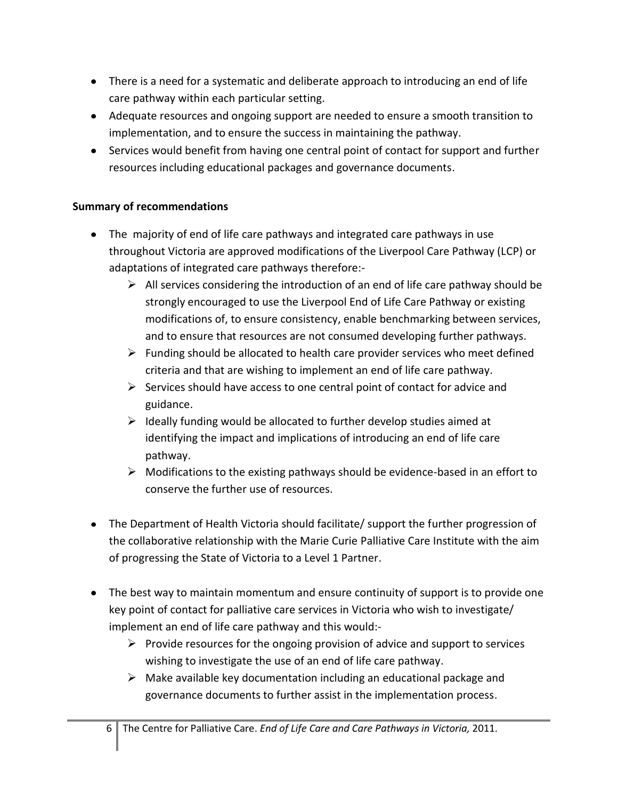- There is a need for a systematic and deliberate approach to introducing an end of life care pathway within each particular setting.
- Adequate resources and ongoing support are needed to ensure a smooth transition to implementation, and to ensure the success in maintaining the pathway.
- Services would benefit from having one central point of contact for support and further resources including educational packages and governance documents.

### **Summary of recommendations**

- The majority of end of life care pathways and integrated care pathways in use throughout Victoria are approved modifications of the Liverpool Care Pathway (LCP) or adaptations of integrated care pathways therefore:-
	- $\triangleright$  All services considering the introduction of an end of life care pathway should be strongly encouraged to use the Liverpool End of Life Care Pathway or existing modifications of, to ensure consistency, enable benchmarking between services, and to ensure that resources are not consumed developing further pathways.
	- $\triangleright$  Funding should be allocated to health care provider services who meet defined criteria and that are wishing to implement an end of life care pathway.
	- $\triangleright$  Services should have access to one central point of contact for advice and guidance.
	- $\triangleright$  Ideally funding would be allocated to further develop studies aimed at identifying the impact and implications of introducing an end of life care pathway.
	- $\triangleright$  Modifications to the existing pathways should be evidence-based in an effort to conserve the further use of resources.
- The Department of Health Victoria should facilitate/ support the further progression of the collaborative relationship with the Marie Curie Palliative Care Institute with the aim of progressing the State of Victoria to a Level 1 Partner.
- The best way to maintain momentum and ensure continuity of support is to provide one key point of contact for palliative care services in Victoria who wish to investigate/ implement an end of life care pathway and this would:-
	- $\triangleright$  Provide resources for the ongoing provision of advice and support to services wishing to investigate the use of an end of life care pathway.
	- $\triangleright$  Make available key documentation including an educational package and governance documents to further assist in the implementation process.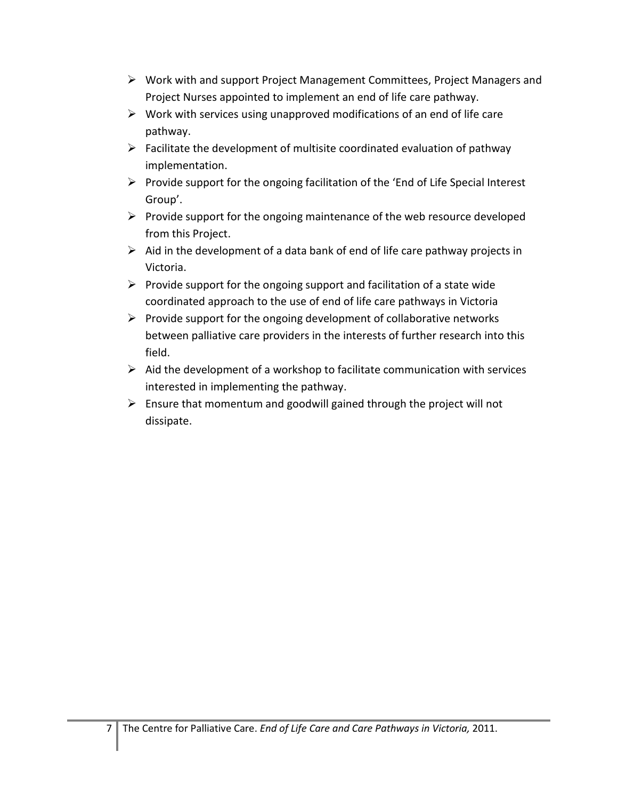- $\triangleright$  Work with and support Project Management Committees, Project Managers and Project Nurses appointed to implement an end of life care pathway.
- $\triangleright$  Work with services using unapproved modifications of an end of life care pathway.
- $\triangleright$  Facilitate the development of multisite coordinated evaluation of pathway implementation.
- $\triangleright$  Provide support for the ongoing facilitation of the 'End of Life Special Interest Group'.
- $\triangleright$  Provide support for the ongoing maintenance of the web resource developed from this Project.
- $\triangleright$  Aid in the development of a data bank of end of life care pathway projects in Victoria.
- $\triangleright$  Provide support for the ongoing support and facilitation of a state wide coordinated approach to the use of end of life care pathways in Victoria
- $\triangleright$  Provide support for the ongoing development of collaborative networks between palliative care providers in the interests of further research into this field.
- $\triangleright$  Aid the development of a workshop to facilitate communication with services interested in implementing the pathway.
- $\triangleright$  Ensure that momentum and goodwill gained through the project will not dissipate.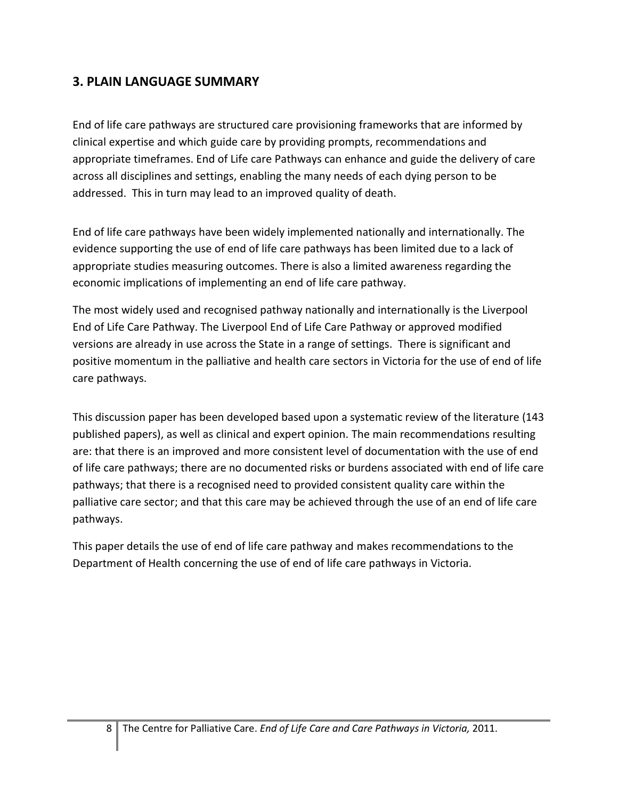# **3. PLAIN LANGUAGE SUMMARY**

End of life care pathways are structured care provisioning frameworks that are informed by clinical expertise and which guide care by providing prompts, recommendations and appropriate timeframes. End of Life care Pathways can enhance and guide the delivery of care across all disciplines and settings, enabling the many needs of each dying person to be addressed. This in turn may lead to an improved quality of death.

End of life care pathways have been widely implemented nationally and internationally. The evidence supporting the use of end of life care pathways has been limited due to a lack of appropriate studies measuring outcomes. There is also a limited awareness regarding the economic implications of implementing an end of life care pathway.

The most widely used and recognised pathway nationally and internationally is the Liverpool End of Life Care Pathway. The Liverpool End of Life Care Pathway or approved modified versions are already in use across the State in a range of settings. There is significant and positive momentum in the palliative and health care sectors in Victoria for the use of end of life care pathways.

This discussion paper has been developed based upon a systematic review of the literature (143 published papers), as well as clinical and expert opinion. The main recommendations resulting are: that there is an improved and more consistent level of documentation with the use of end of life care pathways; there are no documented risks or burdens associated with end of life care pathways; that there is a recognised need to provided consistent quality care within the palliative care sector; and that this care may be achieved through the use of an end of life care pathways.

This paper details the use of end of life care pathway and makes recommendations to the Department of Health concerning the use of end of life care pathways in Victoria.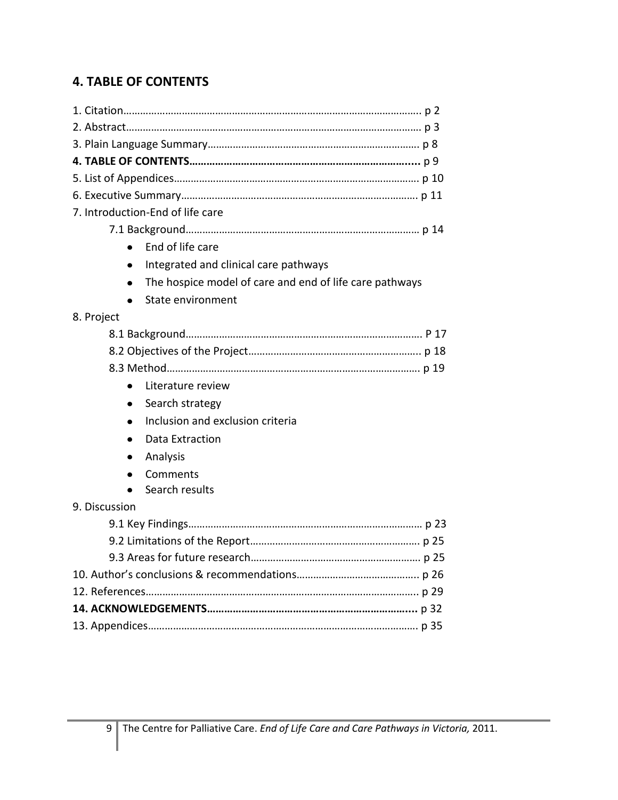# **4. TABLE OF CONTENTS**

| 7. Introduction-End of life care                        |  |
|---------------------------------------------------------|--|
|                                                         |  |
| End of life care                                        |  |
|                                                         |  |
| Integrated and clinical care pathways                   |  |
| The hospice model of care and end of life care pathways |  |
| State environment                                       |  |
| 8. Project                                              |  |
|                                                         |  |
|                                                         |  |
|                                                         |  |
| Literature review                                       |  |
| Search strategy<br>$\bullet$                            |  |
| Inclusion and exclusion criteria                        |  |
| Data Extraction                                         |  |
| Analysis<br>٠                                           |  |
| Comments                                                |  |
| Search results                                          |  |
| 9. Discussion                                           |  |
|                                                         |  |
|                                                         |  |
|                                                         |  |
|                                                         |  |
|                                                         |  |
|                                                         |  |
|                                                         |  |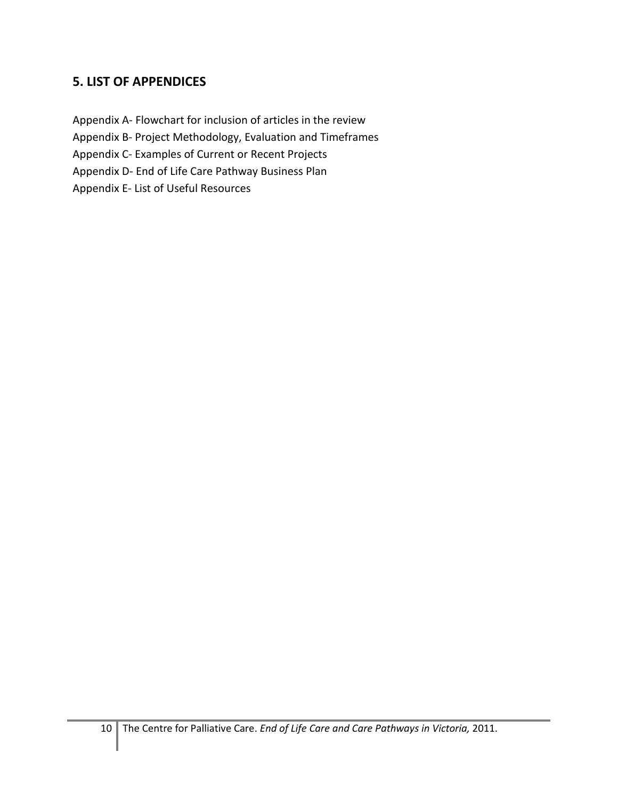# **5. LIST OF APPENDICES**

Appendix A- Flowchart for inclusion of articles in the review Appendix B- Project Methodology, Evaluation and Timeframes

Appendix C- Examples of Current or Recent Projects

Appendix D- End of Life Care Pathway Business Plan

Appendix E- List of Useful Resources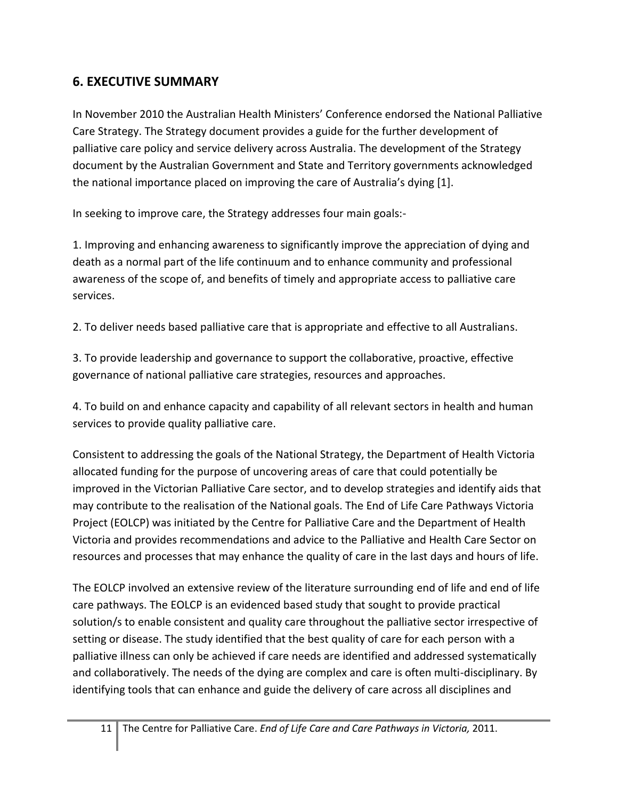# **6. EXECUTIVE SUMMARY**

In November 2010 the Australian Health Ministers' Conference endorsed the National Palliative Care Strategy. The Strategy document provides a guide for the further development of palliative care policy and service delivery across Australia. The development of the Strategy document by the Australian Government and State and Territory governments acknowledged the national importance placed on improving the care of Australia's dying [\[1\]](#page-28-0).

In seeking to improve care, the Strategy addresses four main goals:-

1. Improving and enhancing awareness to significantly improve the appreciation of dying and death as a normal part of the life continuum and to enhance community and professional awareness of the scope of, and benefits of timely and appropriate access to palliative care services.

2. To deliver needs based palliative care that is appropriate and effective to all Australians.

3. To provide leadership and governance to support the collaborative, proactive, effective governance of national palliative care strategies, resources and approaches.

4. To build on and enhance capacity and capability of all relevant sectors in health and human services to provide quality palliative care.

Consistent to addressing the goals of the National Strategy, the Department of Health Victoria allocated funding for the purpose of uncovering areas of care that could potentially be improved in the Victorian Palliative Care sector, and to develop strategies and identify aids that may contribute to the realisation of the National goals. The End of Life Care Pathways Victoria Project (EOLCP) was initiated by the Centre for Palliative Care and the Department of Health Victoria and provides recommendations and advice to the Palliative and Health Care Sector on resources and processes that may enhance the quality of care in the last days and hours of life.

The EOLCP involved an extensive review of the literature surrounding end of life and end of life care pathways. The EOLCP is an evidenced based study that sought to provide practical solution/s to enable consistent and quality care throughout the palliative sector irrespective of setting or disease. The study identified that the best quality of care for each person with a palliative illness can only be achieved if care needs are identified and addressed systematically and collaboratively. The needs of the dying are complex and care is often multi-disciplinary. By identifying tools that can enhance and guide the delivery of care across all disciplines and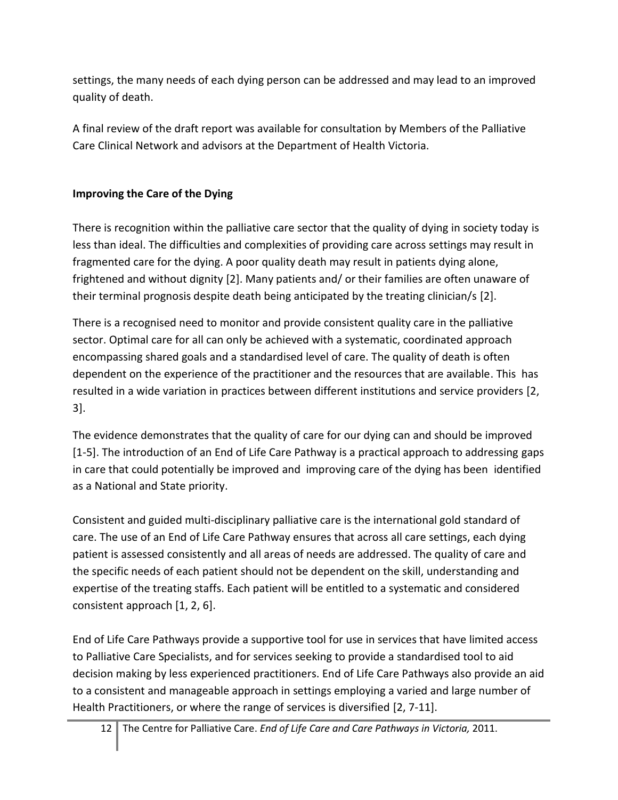settings, the many needs of each dying person can be addressed and may lead to an improved quality of death.

A final review of the draft report was available for consultation by Members of the Palliative Care Clinical Network and advisors at the Department of Health Victoria.

# **Improving the Care of the Dying**

There is recognition within the palliative care sector that the quality of dying in society today is less than ideal. The difficulties and complexities of providing care across settings may result in fragmented care for the dying. A poor quality death may result in patients dying alone, frightened and without dignity [\[2\]](#page-28-1). Many patients and/ or their families are often unaware of their terminal prognosis despite death being anticipated by the treating clinician/s [\[2\]](#page-28-1).

There is a recognised need to monitor and provide consistent quality care in the palliative sector. Optimal care for all can only be achieved with a systematic, coordinated approach encompassing shared goals and a standardised level of care. The quality of death is often dependent on the experience of the practitioner and the resources that are available. This has resulted in a wide variation in practices between different institutions and service providers [\[2,](#page-28-1) [3\]](#page-28-2).

The evidence demonstrates that the quality of care for our dying can and should be improved [\[1-5\]](#page-28-0). The introduction of an End of Life Care Pathway is a practical approach to addressing gaps in care that could potentially be improved and improving care of the dying has been identified as a National and State priority.

Consistent and guided multi-disciplinary palliative care is the international gold standard of care. The use of an End of Life Care Pathway ensures that across all care settings, each dying patient is assessed consistently and all areas of needs are addressed. The quality of care and the specific needs of each patient should not be dependent on the skill, understanding and expertise of the treating staffs. Each patient will be entitled to a systematic and considered consistent approach [\[1,](#page-28-0) [2,](#page-28-1) [6\]](#page-28-3).

End of Life Care Pathways provide a supportive tool for use in services that have limited access to Palliative Care Specialists, and for services seeking to provide a standardised tool to aid decision making by less experienced practitioners. End of Life Care Pathways also provide an aid to a consistent and manageable approach in settings employing a varied and large number of Health Practitioners, or where the range of services is diversified [\[2,](#page-28-1) [7-11\]](#page-28-4).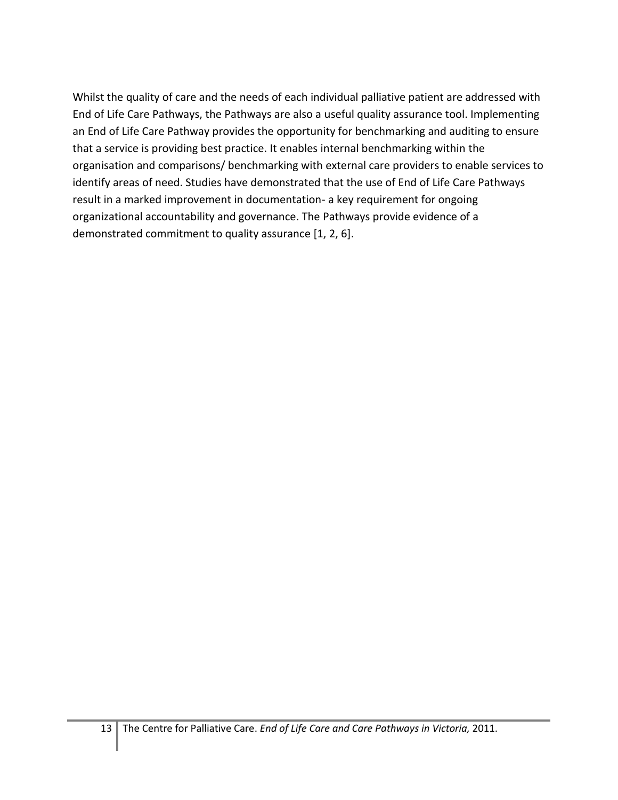Whilst the quality of care and the needs of each individual palliative patient are addressed with End of Life Care Pathways, the Pathways are also a useful quality assurance tool. Implementing an End of Life Care Pathway provides the opportunity for benchmarking and auditing to ensure that a service is providing best practice. It enables internal benchmarking within the organisation and comparisons/ benchmarking with external care providers to enable services to identify areas of need. Studies have demonstrated that the use of End of Life Care Pathways result in a marked improvement in documentation- a key requirement for ongoing organizational accountability and governance. The Pathways provide evidence of a demonstrated commitment to quality assurance [\[1,](#page-28-0) [2,](#page-28-1) [6\]](#page-28-3).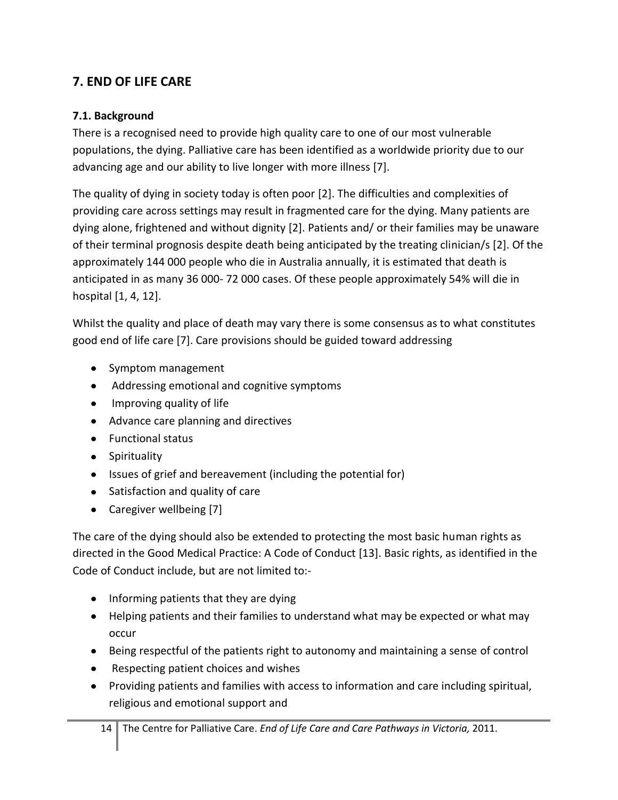# **7. END OF LIFE CARE**

### **7.1. Background**

There is a recognised need to provide high quality care to one of our most vulnerable populations, the dying. Palliative care has been identified as a worldwide priority due to our advancing age and our ability to live longer with more illness [\[7\]](#page-28-4).

The quality of dying in society today is often poor [\[2\]](#page-28-1). The difficulties and complexities of providing care across settings may result in fragmented care for the dying. Many patients are dying alone, frightened and without dignity [\[2\]](#page-28-1). Patients and/ or their families may be unaware of their terminal prognosis despite death being anticipated by the treating clinician/s [\[2\]](#page-28-1). Of the approximately 144 000 people who die in Australia annually, it is estimated that death is anticipated in as many 36 000- 72 000 cases. Of these people approximately 54% will die in hospital [\[1,](#page-28-0) [4,](#page-28-5) [12\]](#page-28-6).

Whilst the quality and place of death may vary there is some consensus as to what constitutes good end of life care [\[7\]](#page-28-4). Care provisions should be guided toward addressing

- Symptom management
- Addressing emotional and cognitive symptoms
- Improving quality of life
- Advance care planning and directives
- Functional status
- Spirituality
- Issues of grief and bereavement (including the potential for)
- Satisfaction and quality of care
- Caregiver wellbeing [\[7\]](#page-28-4)

The care of the dying should also be extended to protecting the most basic human rights as directed in the Good Medical Practice: A Code of Conduct [\[13\]](#page-28-7). Basic rights, as identified in the Code of Conduct include, but are not limited to:-

- Informing patients that they are dying
- Helping patients and their families to understand what may be expected or what may occur
- Being respectful of the patients right to autonomy and maintaining a sense of control
- Respecting patient choices and wishes
- Providing patients and families with access to information and care including spiritual, religious and emotional support and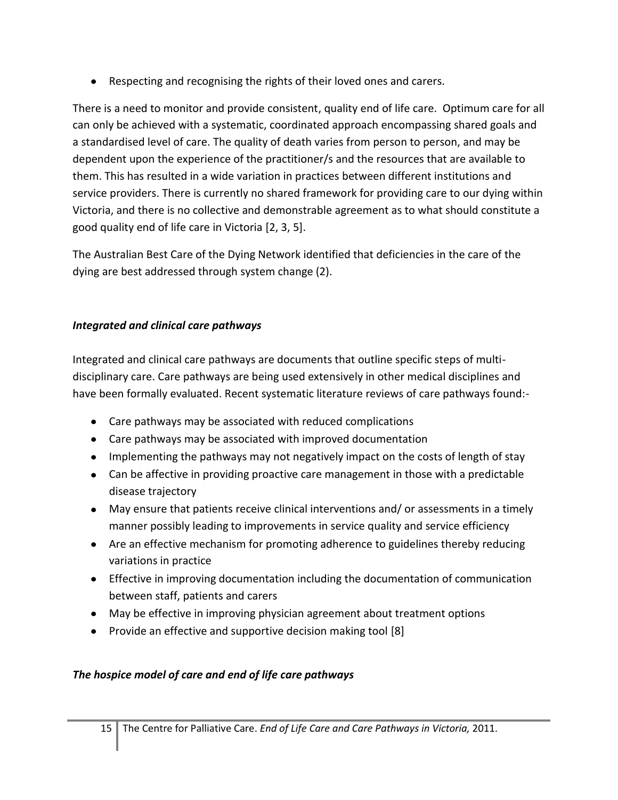Respecting and recognising the rights of their loved ones and carers.

There is a need to monitor and provide consistent, quality end of life care. Optimum care for all can only be achieved with a systematic, coordinated approach encompassing shared goals and a standardised level of care. The quality of death varies from person to person, and may be dependent upon the experience of the practitioner/s and the resources that are available to them. This has resulted in a wide variation in practices between different institutions and service providers. There is currently no shared framework for providing care to our dying within Victoria, and there is no collective and demonstrable agreement as to what should constitute a good quality end of life care in Victoria [\[2,](#page-28-1) [3,](#page-28-2) [5\]](#page-28-8).

The Australian Best Care of the Dying Network identified that deficiencies in the care of the dying are best addressed through system change (2).

# *Integrated and clinical care pathways*

Integrated and clinical care pathways are documents that outline specific steps of multidisciplinary care. Care pathways are being used extensively in other medical disciplines and have been formally evaluated. Recent systematic literature reviews of care pathways found:-

- Care pathways may be associated with reduced complications
- Care pathways may be associated with improved documentation
- Implementing the pathways may not negatively impact on the costs of length of stay
- Can be affective in providing proactive care management in those with a predictable disease trajectory
- May ensure that patients receive clinical interventions and/ or assessments in a timely manner possibly leading to improvements in service quality and service efficiency
- Are an effective mechanism for promoting adherence to guidelines thereby reducing variations in practice
- Effective in improving documentation including the documentation of communication between staff, patients and carers
- May be effective in improving physician agreement about treatment options
- Provide an effective and supportive decision making tool [\[8\]](#page-28-9)

# *The hospice model of care and end of life care pathways*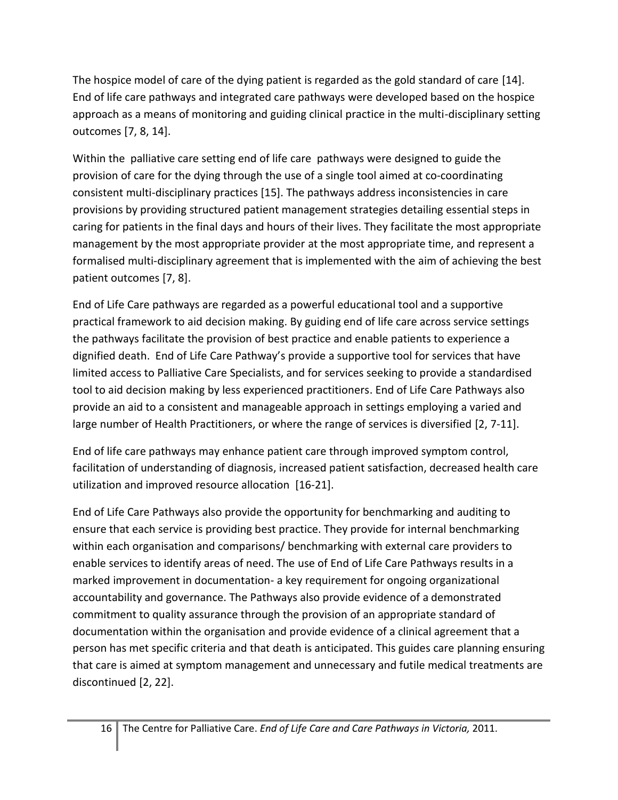The hospice model of care of the dying patient is regarded as the gold standard of care [\[14\]](#page-28-10). End of life care pathways and integrated care pathways were developed based on the hospice approach as a means of monitoring and guiding clinical practice in the multi-disciplinary setting outcomes [\[7,](#page-28-4) [8,](#page-28-9) [14\]](#page-28-10).

Within the palliative care setting end of life care pathways were designed to guide the provision of care for the dying through the use of a single tool aimed at co-coordinating consistent multi-disciplinary practices [\[15\]](#page-28-11). The pathways address inconsistencies in care provisions by providing structured patient management strategies detailing essential steps in caring for patients in the final days and hours of their lives. They facilitate the most appropriate management by the most appropriate provider at the most appropriate time, and represent a formalised multi-disciplinary agreement that is implemented with the aim of achieving the best patient outcomes [\[7,](#page-28-4) [8\]](#page-28-9).

End of Life Care pathways are regarded as a powerful educational tool and a supportive practical framework to aid decision making. By guiding end of life care across service settings the pathways facilitate the provision of best practice and enable patients to experience a dignified death. End of Life Care Pathway's provide a supportive tool for services that have limited access to Palliative Care Specialists, and for services seeking to provide a standardised tool to aid decision making by less experienced practitioners. End of Life Care Pathways also provide an aid to a consistent and manageable approach in settings employing a varied and large number of Health Practitioners, or where the range of services is diversified [\[2,](#page-28-1) [7-11\]](#page-28-4).

End of life care pathways may enhance patient care through improved symptom control, facilitation of understanding of diagnosis, increased patient satisfaction, decreased health care utilization and improved resource allocation [\[16-21\]](#page-28-12).

End of Life Care Pathways also provide the opportunity for benchmarking and auditing to ensure that each service is providing best practice. They provide for internal benchmarking within each organisation and comparisons/ benchmarking with external care providers to enable services to identify areas of need. The use of End of Life Care Pathways results in a marked improvement in documentation- a key requirement for ongoing organizational accountability and governance. The Pathways also provide evidence of a demonstrated commitment to quality assurance through the provision of an appropriate standard of documentation within the organisation and provide evidence of a clinical agreement that a person has met specific criteria and that death is anticipated. This guides care planning ensuring that care is aimed at symptom management and unnecessary and futile medical treatments are discontinued [\[2,](#page-28-1) [22\]](#page-29-0).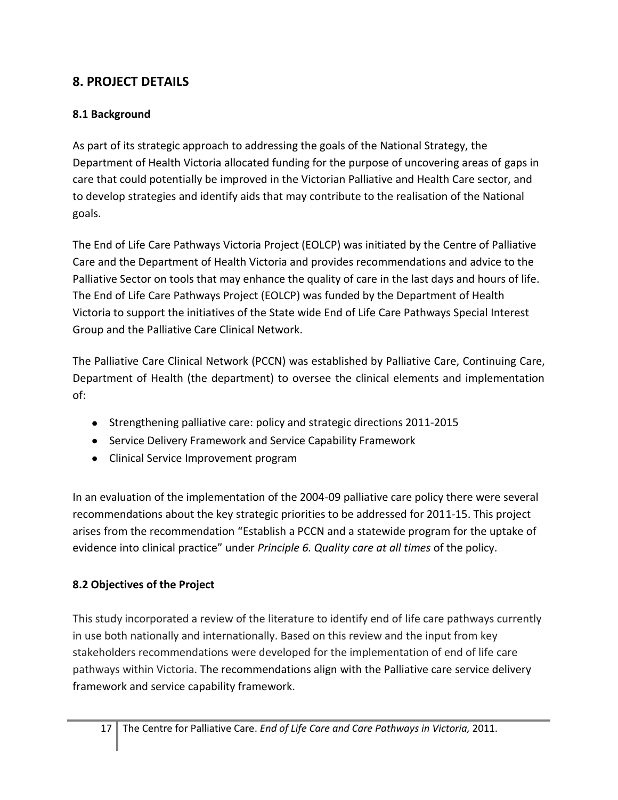# **8. PROJECT DETAILS**

# **8.1 Background**

As part of its strategic approach to addressing the goals of the National Strategy, the Department of Health Victoria allocated funding for the purpose of uncovering areas of gaps in care that could potentially be improved in the Victorian Palliative and Health Care sector, and to develop strategies and identify aids that may contribute to the realisation of the National goals.

The End of Life Care Pathways Victoria Project (EOLCP) was initiated by the Centre of Palliative Care and the Department of Health Victoria and provides recommendations and advice to the Palliative Sector on tools that may enhance the quality of care in the last days and hours of life. The End of Life Care Pathways Project (EOLCP) was funded by the Department of Health Victoria to support the initiatives of the State wide End of Life Care Pathways Special Interest Group and the Palliative Care Clinical Network.

The Palliative Care Clinical Network (PCCN) was established by Palliative Care, Continuing Care, Department of Health (the department) to oversee the clinical elements and implementation of:

- Strengthening palliative care: policy and strategic directions 2011-2015
- Service Delivery Framework and Service Capability Framework
- Clinical Service Improvement program

In an evaluation of the implementation of the 2004-09 palliative care policy there were several recommendations about the key strategic priorities to be addressed for 2011-15. This project arises from the recommendation "Establish a PCCN and a statewide program for the uptake of evidence into clinical practice" under *Principle 6. Quality care at all times* of the policy.

# **8.2 Objectives of the Project**

This study incorporated a review of the literature to identify end of life care pathways currently in use both nationally and internationally. Based on this review and the input from key stakeholders recommendations were developed for the implementation of end of life care pathways within Victoria. The recommendations align with the Palliative care service delivery framework and service capability framework.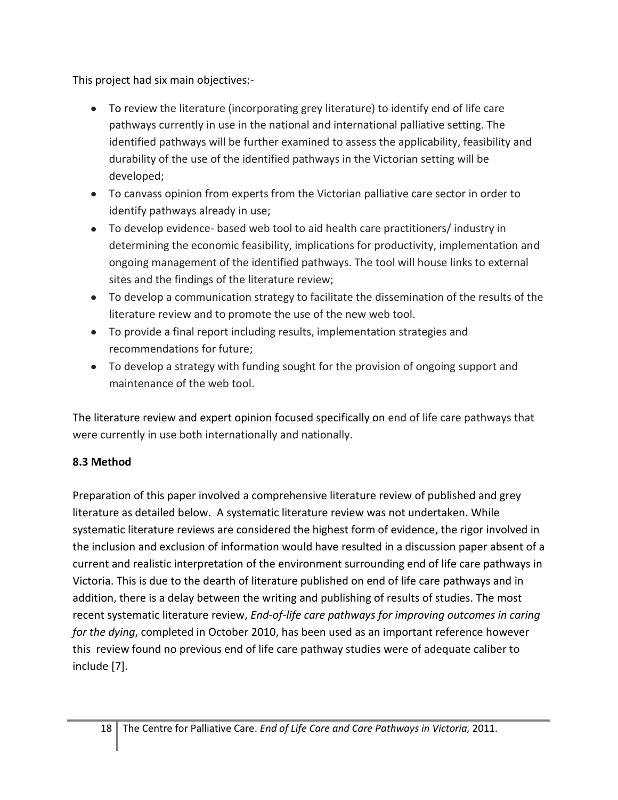This project had six main objectives:-

- To review the literature (incorporating grey literature) to identify end of life care pathways currently in use in the national and international palliative setting. The identified pathways will be further examined to assess the applicability, feasibility and durability of the use of the identified pathways in the Victorian setting will be developed;
- To canvass opinion from experts from the Victorian palliative care sector in order to identify pathways already in use;
- To develop evidence- based web tool to aid health care practitioners/ industry in determining the economic feasibility, implications for productivity, implementation and ongoing management of the identified pathways. The tool will house links to external sites and the findings of the literature review;
- To develop a communication strategy to facilitate the dissemination of the results of the literature review and to promote the use of the new web tool.
- To provide a final report including results, implementation strategies and recommendations for future;
- To develop a strategy with funding sought for the provision of ongoing support and maintenance of the web tool.

The literature review and expert opinion focused specifically on end of life care pathways that were currently in use both internationally and nationally.

# **8.3 Method**

Preparation of this paper involved a comprehensive literature review of published and grey literature as detailed below. A systematic literature review was not undertaken. While systematic literature reviews are considered the highest form of evidence, the rigor involved in the inclusion and exclusion of information would have resulted in a discussion paper absent of a current and realistic interpretation of the environment surrounding end of life care pathways in Victoria. This is due to the dearth of literature published on end of life care pathways and in addition, there is a delay between the writing and publishing of results of studies. The most recent systematic literature review, *End-of-life care pathways for improving outcomes in caring for the dying*, completed in October 2010, has been used as an important reference however this review found no previous end of life care pathway studies were of adequate caliber to include [\[7\]](#page-28-4).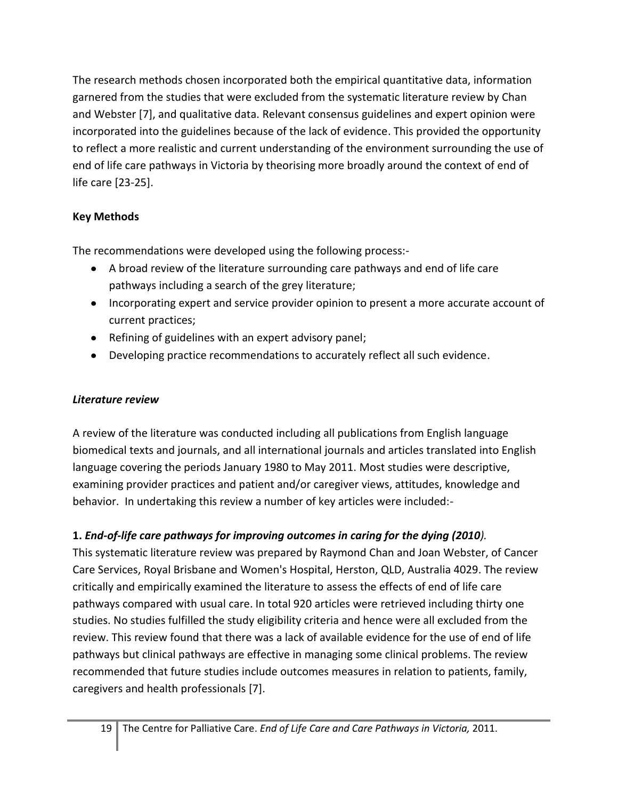The research methods chosen incorporated both the empirical quantitative data, information garnered from the studies that were excluded from the systematic literature review by Chan and Webster [\[7\]](#page-28-4), and qualitative data. Relevant consensus guidelines and expert opinion were incorporated into the guidelines because of the lack of evidence. This provided the opportunity to reflect a more realistic and current understanding of the environment surrounding the use of end of life care pathways in Victoria by theorising more broadly around the context of end of life care [\[23-25\]](#page-29-1).

# **Key Methods**

The recommendations were developed using the following process:-

- A broad review of the literature surrounding care pathways and end of life care pathways including a search of the grey literature;
- Incorporating expert and service provider opinion to present a more accurate account of current practices;
- Refining of guidelines with an expert advisory panel;
- Developing practice recommendations to accurately reflect all such evidence.

# *Literature review*

A review of the literature was conducted including all publications from English language biomedical texts and journals, and all international journals and articles translated into English language covering the periods January 1980 to May 2011. Most studies were descriptive, examining provider practices and patient and/or caregiver views, attitudes, knowledge and behavior. In undertaking this review a number of key articles were included:-

# **1.** *End-of-life care pathways for improving outcomes in caring for the dying (2010).*

This systematic literature review was prepared by Raymond Chan and Joan Webster, of Cancer Care Services, Royal Brisbane and Women's Hospital, Herston, QLD, Australia 4029. The review critically and empirically examined the literature to assess the effects of end of life care pathways compared with usual care. In total 920 articles were retrieved including thirty one studies. No studies fulfilled the study eligibility criteria and hence were all excluded from the review. This review found that there was a lack of available evidence for the use of end of life pathways but clinical pathways are effective in managing some clinical problems. The review recommended that future studies include outcomes measures in relation to patients, family, caregivers and health professionals [\[7\]](#page-28-4).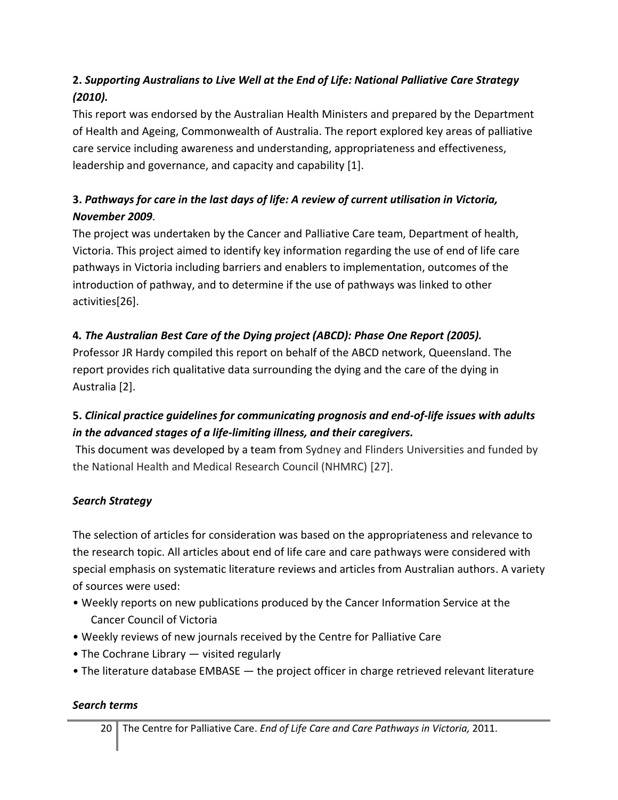# **2.** *Supporting Australians to Live Well at the End of Life: National Palliative Care Strategy (2010).*

This report was endorsed by the Australian Health Ministers and prepared by the Department of Health and Ageing, Commonwealth of Australia. The report explored key areas of palliative care service including awareness and understanding, appropriateness and effectiveness, leadership and governance, and capacity and capability [\[1\]](#page-28-0).

# **3.** *Pathways for care in the last days of life: A review of current utilisation in Victoria, November 2009*.

The project was undertaken by the Cancer and Palliative Care team, Department of health, Victoria. This project aimed to identify key information regarding the use of end of life care pathways in Victoria including barriers and enablers to implementation, outcomes of the introduction of pathway, and to determine if the use of pathways was linked to other activities[\[26\]](#page-29-2).

# **4***. The Australian Best Care of the Dying project (ABCD): Phase One Report (2005).*

Professor JR Hardy compiled this report on behalf of the ABCD network, Queensland. The report provides rich qualitative data surrounding the dying and the care of the dying in Australia [\[2\]](#page-28-1).

# **5.** *Clinical practice guidelines for communicating prognosis and end-of-life issues with adults in the advanced stages of a life-limiting illness, and their caregivers.*

This document was developed by a team from Sydney and Flinders Universities and funded by the National Health and Medical Research Council (NHMRC) [\[27\]](#page-29-3).

# *Search Strategy*

The selection of articles for consideration was based on the appropriateness and relevance to the research topic. All articles about end of life care and care pathways were considered with special emphasis on systematic literature reviews and articles from Australian authors. A variety of sources were used:

- Weekly reports on new publications produced by the Cancer Information Service at the Cancer Council of Victoria
- Weekly reviews of new journals received by the Centre for Palliative Care
- The Cochrane Library visited regularly
- The literature database EMBASE the project officer in charge retrieved relevant literature

### *Search terms*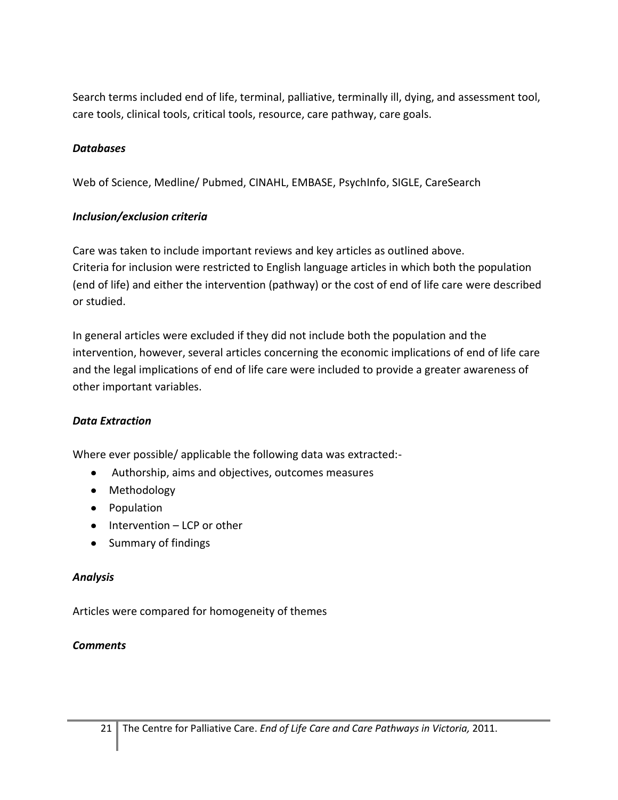Search terms included end of life, terminal, palliative, terminally ill, dying, and assessment tool, care tools, clinical tools, critical tools, resource, care pathway, care goals.

### *Databases*

Web of Science, Medline/ Pubmed, CINAHL, EMBASE, PsychInfo, SIGLE, CareSearch

### *Inclusion/exclusion criteria*

Care was taken to include important reviews and key articles as outlined above. Criteria for inclusion were restricted to English language articles in which both the population (end of life) and either the intervention (pathway) or the cost of end of life care were described or studied.

In general articles were excluded if they did not include both the population and the intervention, however, several articles concerning the economic implications of end of life care and the legal implications of end of life care were included to provide a greater awareness of other important variables.

### *Data Extraction*

Where ever possible/ applicable the following data was extracted:-

- Authorship, aims and objectives, outcomes measures
- Methodology
- Population
- $\bullet$  Intervention LCP or other
- Summary of findings

### *Analysis*

Articles were compared for homogeneity of themes

### *Comments*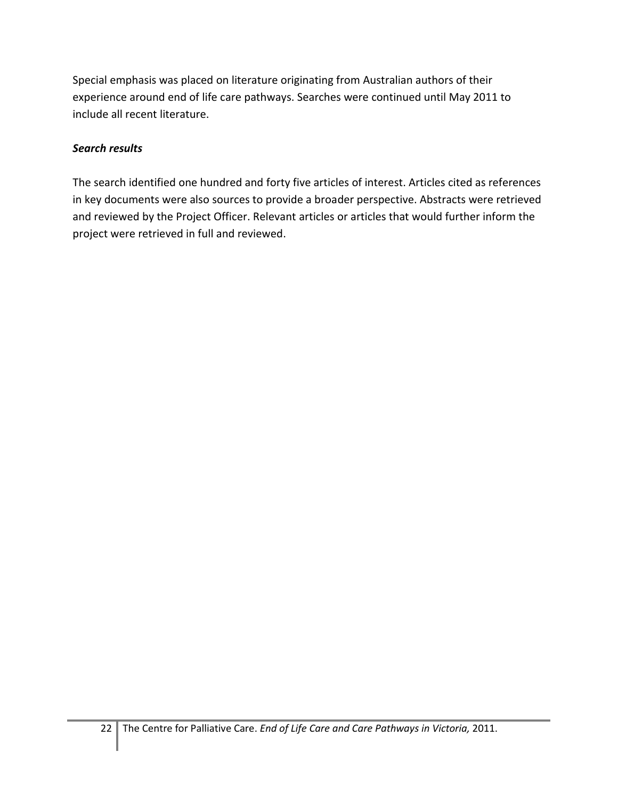Special emphasis was placed on literature originating from Australian authors of their experience around end of life care pathways. Searches were continued until May 2011 to include all recent literature.

## *Search results*

The search identified one hundred and forty five articles of interest. Articles cited as references in key documents were also sources to provide a broader perspective. Abstracts were retrieved and reviewed by the Project Officer. Relevant articles or articles that would further inform the project were retrieved in full and reviewed.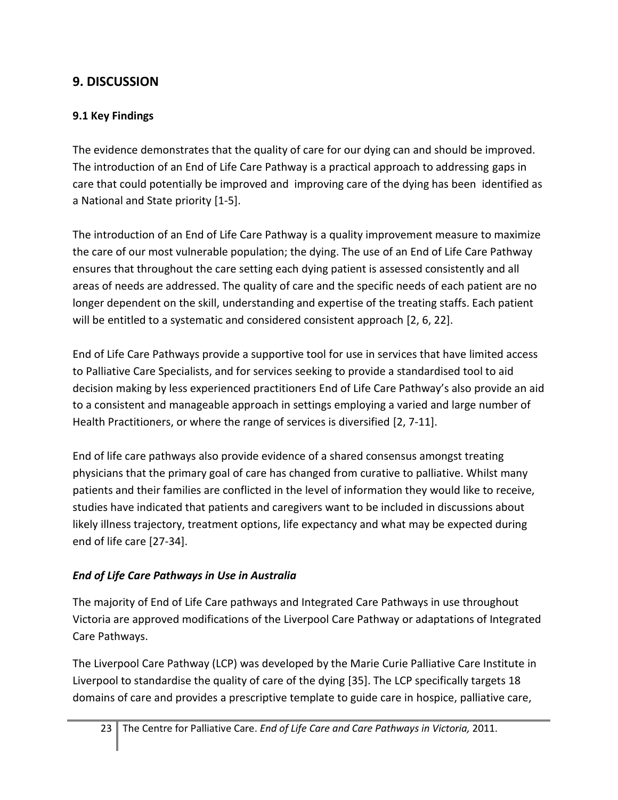# **9. DISCUSSION**

# **9.1 Key Findings**

The evidence demonstrates that the quality of care for our dying can and should be improved. The introduction of an End of Life Care Pathway is a practical approach to addressing gaps in care that could potentially be improved and improving care of the dying has been identified as a National and State priority [\[1-5\]](#page-28-0).

The introduction of an End of Life Care Pathway is a quality improvement measure to maximize the care of our most vulnerable population; the dying. The use of an End of Life Care Pathway ensures that throughout the care setting each dying patient is assessed consistently and all areas of needs are addressed. The quality of care and the specific needs of each patient are no longer dependent on the skill, understanding and expertise of the treating staffs. Each patient will be entitled to a systematic and considered consistent approach [\[2,](#page-28-1) [6,](#page-28-3) [22\]](#page-29-0).

End of Life Care Pathways provide a supportive tool for use in services that have limited access to Palliative Care Specialists, and for services seeking to provide a standardised tool to aid decision making by less experienced practitioners End of Life Care Pathway's also provide an aid to a consistent and manageable approach in settings employing a varied and large number of Health Practitioners, or where the range of services is diversified [\[2,](#page-28-1) [7-11\]](#page-28-4).

End of life care pathways also provide evidence of a shared consensus amongst treating physicians that the primary goal of care has changed from curative to palliative. Whilst many patients and their families are conflicted in the level of information they would like to receive, studies have indicated that patients and caregivers want to be included in discussions about likely illness trajectory, treatment options, life expectancy and what may be expected during end of life care [\[27-34\]](#page-29-3).

# *End of Life Care Pathways in Use in Australia*

The majority of End of Life Care pathways and Integrated Care Pathways in use throughout Victoria are approved modifications of the Liverpool Care Pathway or adaptations of Integrated Care Pathways.

The Liverpool Care Pathway (LCP) was developed by the Marie Curie Palliative Care Institute in Liverpool to standardise the quality of care of the dying [\[35\]](#page-29-4). The LCP specifically targets 18 domains of care and provides a prescriptive template to guide care in hospice, palliative care,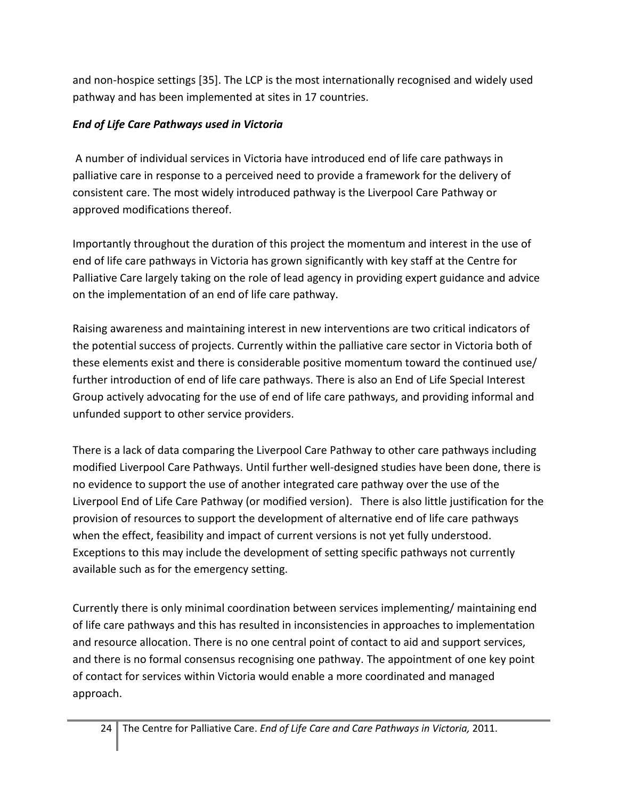and non-hospice settings [\[35\]](#page-29-4). The LCP is the most internationally recognised and widely used pathway and has been implemented at sites in 17 countries.

# *End of Life Care Pathways used in Victoria*

A number of individual services in Victoria have introduced end of life care pathways in palliative care in response to a perceived need to provide a framework for the delivery of consistent care. The most widely introduced pathway is the Liverpool Care Pathway or approved modifications thereof.

Importantly throughout the duration of this project the momentum and interest in the use of end of life care pathways in Victoria has grown significantly with key staff at the Centre for Palliative Care largely taking on the role of lead agency in providing expert guidance and advice on the implementation of an end of life care pathway.

Raising awareness and maintaining interest in new interventions are two critical indicators of the potential success of projects. Currently within the palliative care sector in Victoria both of these elements exist and there is considerable positive momentum toward the continued use/ further introduction of end of life care pathways. There is also an End of Life Special Interest Group actively advocating for the use of end of life care pathways, and providing informal and unfunded support to other service providers.

There is a lack of data comparing the Liverpool Care Pathway to other care pathways including modified Liverpool Care Pathways. Until further well-designed studies have been done, there is no evidence to support the use of another integrated care pathway over the use of the Liverpool End of Life Care Pathway (or modified version). There is also little justification for the provision of resources to support the development of alternative end of life care pathways when the effect, feasibility and impact of current versions is not yet fully understood. Exceptions to this may include the development of setting specific pathways not currently available such as for the emergency setting.

Currently there is only minimal coordination between services implementing/ maintaining end of life care pathways and this has resulted in inconsistencies in approaches to implementation and resource allocation. There is no one central point of contact to aid and support services, and there is no formal consensus recognising one pathway. The appointment of one key point of contact for services within Victoria would enable a more coordinated and managed approach.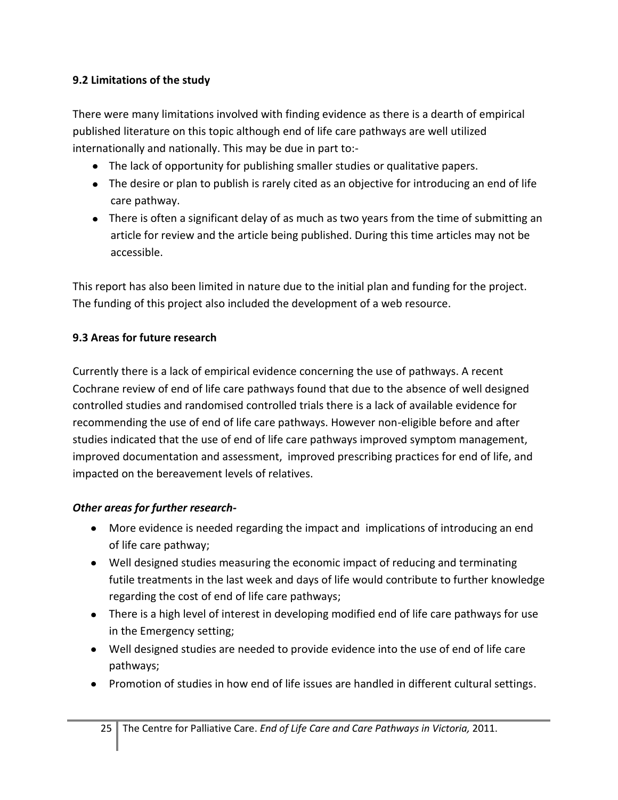## **9.2 Limitations of the study**

There were many limitations involved with finding evidence as there is a dearth of empirical published literature on this topic although end of life care pathways are well utilized internationally and nationally. This may be due in part to:-

- The lack of opportunity for publishing smaller studies or qualitative papers.
- The desire or plan to publish is rarely cited as an objective for introducing an end of life care pathway.
- There is often a significant delay of as much as two years from the time of submitting an article for review and the article being published. During this time articles may not be accessible.

This report has also been limited in nature due to the initial plan and funding for the project. The funding of this project also included the development of a web resource.

## **9.3 Areas for future research**

Currently there is a lack of empirical evidence concerning the use of pathways. A recent Cochrane review of end of life care pathways found that due to the absence of well designed controlled studies and randomised controlled trials there is a lack of available evidence for recommending the use of end of life care pathways. However non-eligible before and after studies indicated that the use of end of life care pathways improved symptom management, improved documentation and assessment, improved prescribing practices for end of life, and impacted on the bereavement levels of relatives.

# *Other areas for further research-*

- More evidence is needed regarding the impact and implications of introducing an end of life care pathway;
- Well designed studies measuring the economic impact of reducing and terminating futile treatments in the last week and days of life would contribute to further knowledge regarding the cost of end of life care pathways;
- There is a high level of interest in developing modified end of life care pathways for use in the Emergency setting;
- Well designed studies are needed to provide evidence into the use of end of life care pathways;
- Promotion of studies in how end of life issues are handled in different cultural settings.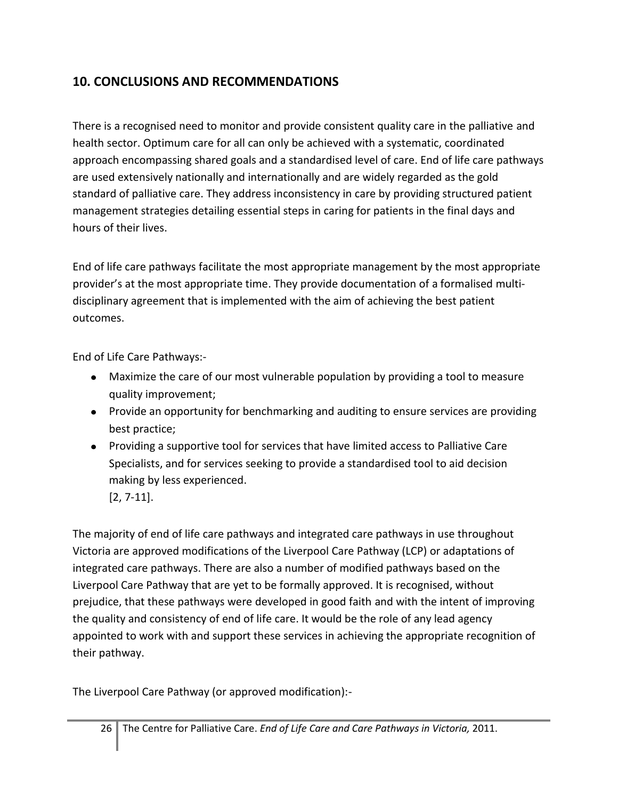# **10. CONCLUSIONS AND RECOMMENDATIONS**

There is a recognised need to monitor and provide consistent quality care in the palliative and health sector. Optimum care for all can only be achieved with a systematic, coordinated approach encompassing shared goals and a standardised level of care. End of life care pathways are used extensively nationally and internationally and are widely regarded as the gold standard of palliative care. They address inconsistency in care by providing structured patient management strategies detailing essential steps in caring for patients in the final days and hours of their lives.

End of life care pathways facilitate the most appropriate management by the most appropriate provider's at the most appropriate time. They provide documentation of a formalised multidisciplinary agreement that is implemented with the aim of achieving the best patient outcomes.

End of Life Care Pathways:-

- Maximize the care of our most vulnerable population by providing a tool to measure quality improvement;
- Provide an opportunity for benchmarking and auditing to ensure services are providing best practice;
- Providing a supportive tool for services that have limited access to Palliative Care Specialists, and for services seeking to provide a standardised tool to aid decision making by less experienced.
	- [\[2,](#page-28-1) [7-11\]](#page-28-4).

The majority of end of life care pathways and integrated care pathways in use throughout Victoria are approved modifications of the Liverpool Care Pathway (LCP) or adaptations of integrated care pathways. There are also a number of modified pathways based on the Liverpool Care Pathway that are yet to be formally approved. It is recognised, without prejudice, that these pathways were developed in good faith and with the intent of improving the quality and consistency of end of life care. It would be the role of any lead agency appointed to work with and support these services in achieving the appropriate recognition of their pathway.

The Liverpool Care Pathway (or approved modification):-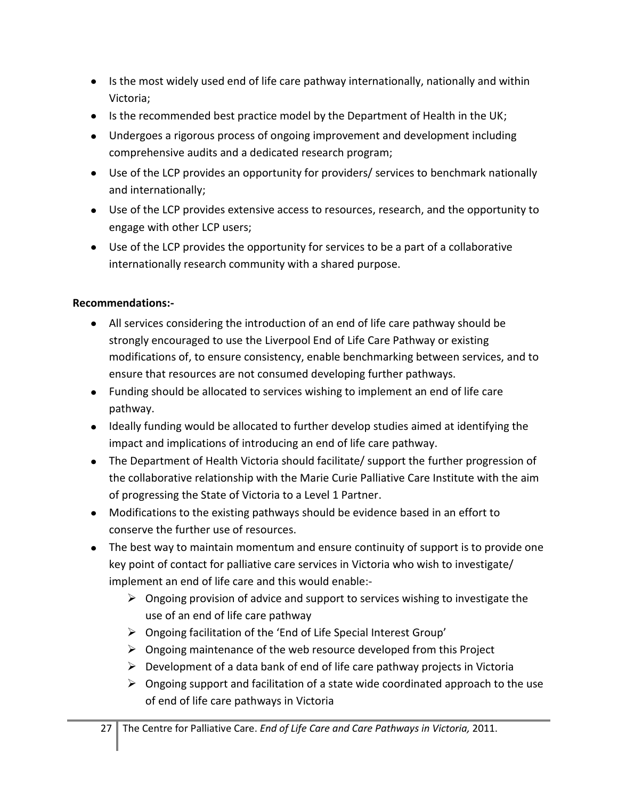- Is the most widely used end of life care pathway internationally, nationally and within Victoria;
- Is the recommended best practice model by the Department of Health in the UK;
- Undergoes a rigorous process of ongoing improvement and development including comprehensive audits and a dedicated research program;
- Use of the LCP provides an opportunity for providers/ services to benchmark nationally and internationally;
- Use of the LCP provides extensive access to resources, research, and the opportunity to engage with other LCP users;
- Use of the LCP provides the opportunity for services to be a part of a collaborative internationally research community with a shared purpose.

### **Recommendations:-**

- All services considering the introduction of an end of life care pathway should be strongly encouraged to use the Liverpool End of Life Care Pathway or existing modifications of, to ensure consistency, enable benchmarking between services, and to ensure that resources are not consumed developing further pathways.
- Funding should be allocated to services wishing to implement an end of life care pathway.
- Ideally funding would be allocated to further develop studies aimed at identifying the impact and implications of introducing an end of life care pathway.
- The Department of Health Victoria should facilitate/ support the further progression of the collaborative relationship with the Marie Curie Palliative Care Institute with the aim of progressing the State of Victoria to a Level 1 Partner.
- Modifications to the existing pathways should be evidence based in an effort to conserve the further use of resources.
- The best way to maintain momentum and ensure continuity of support is to provide one key point of contact for palliative care services in Victoria who wish to investigate/ implement an end of life care and this would enable:-
	- $\triangleright$  Ongoing provision of advice and support to services wishing to investigate the use of an end of life care pathway
	- Ongoing facilitation of the 'End of Life Special Interest Group'
	- $\triangleright$  Ongoing maintenance of the web resource developed from this Project
	- $\triangleright$  Development of a data bank of end of life care pathway projects in Victoria
	- $\triangleright$  Ongoing support and facilitation of a state wide coordinated approach to the use of end of life care pathways in Victoria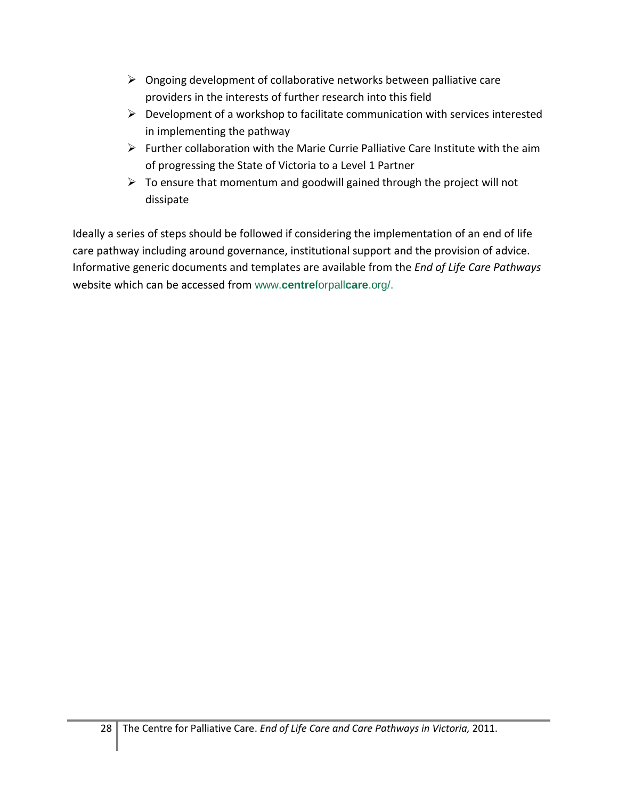- $\triangleright$  Ongoing development of collaborative networks between palliative care providers in the interests of further research into this field
- $\triangleright$  Development of a workshop to facilitate communication with services interested in implementing the pathway
- $\triangleright$  Further collaboration with the Marie Currie Palliative Care Institute with the aim of progressing the State of Victoria to a Level 1 Partner
- $\triangleright$  To ensure that momentum and goodwill gained through the project will not dissipate

Ideally a series of steps should be followed if considering the implementation of an end of life care pathway including around governance, institutional support and the provision of advice. Informative generic documents and templates are available from the *End of Life Care Pathways* website which can be accessed from www.**centre**forpall**care**.org/.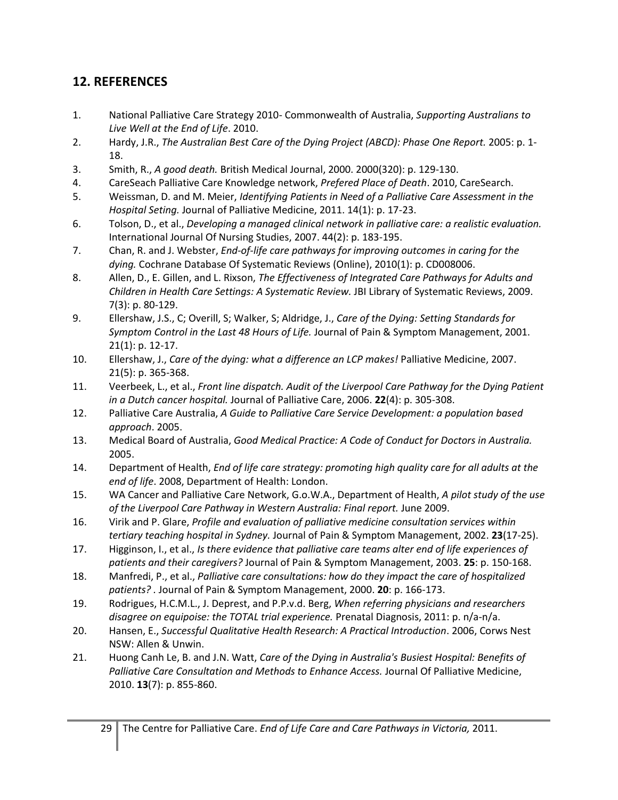# **12. REFERENCES**

- <span id="page-28-0"></span>1. National Palliative Care Strategy 2010- Commonwealth of Australia, *Supporting Australians to Live Well at the End of Life*. 2010.
- <span id="page-28-1"></span>2. Hardy, J.R., *The Australian Best Care of the Dying Project (ABCD): Phase One Report.* 2005: p. 1- 18.
- <span id="page-28-2"></span>3. Smith, R., *A good death.* British Medical Journal, 2000. 2000(320): p. 129-130.
- <span id="page-28-5"></span>4. CareSeach Palliative Care Knowledge network, *Prefered Place of Death*. 2010, CareSearch.
- <span id="page-28-8"></span>5. Weissman, D. and M. Meier, *Identifying Patients in Need of a Palliative Care Assessment in the Hospital Seting.* Journal of Palliative Medicine, 2011. 14(1): p. 17-23.
- <span id="page-28-3"></span>6. Tolson, D., et al., *Developing a managed clinical network in palliative care: a realistic evaluation.* International Journal Of Nursing Studies, 2007. 44(2): p. 183-195.
- <span id="page-28-4"></span>7. Chan, R. and J. Webster, *End-of-life care pathways for improving outcomes in caring for the dying.* Cochrane Database Of Systematic Reviews (Online), 2010(1): p. CD008006.
- <span id="page-28-9"></span>8. Allen, D., E. Gillen, and L. Rixson, *The Effectiveness of Integrated Care Pathways for Adults and Children in Health Care Settings: A Systematic Review.* JBI Library of Systematic Reviews, 2009. 7(3): p. 80-129.
- 9. Ellershaw, J.S., C; Overill, S; Walker, S; Aldridge, J., *Care of the Dying: Setting Standards for Symptom Control in the Last 48 Hours of Life.* Journal of Pain & Symptom Management, 2001. 21(1): p. 12-17.
- 10. Ellershaw, J., *Care of the dying: what a difference an LCP makes!* Palliative Medicine, 2007. 21(5): p. 365-368.
- 11. Veerbeek, L., et al., *Front line dispatch. Audit of the Liverpool Care Pathway for the Dying Patient in a Dutch cancer hospital.* Journal of Palliative Care, 2006. **22**(4): p. 305-308.
- <span id="page-28-6"></span>12. Palliative Care Australia, *A Guide to Palliative Care Service Development: a population based approach*. 2005.
- <span id="page-28-7"></span>13. Medical Board of Australia, *Good Medical Practice: A Code of Conduct for Doctors in Australia.* 2005.
- <span id="page-28-10"></span>14. Department of Health, *End of life care strategy: promoting high quality care for all adults at the end of life*. 2008, Department of Health: London.
- <span id="page-28-11"></span>15. WA Cancer and Palliative Care Network, G.o.W.A., Department of Health, *A pilot study of the use of the Liverpool Care Pathway in Western Australia: Final report.* June 2009.
- <span id="page-28-12"></span>16. Virik and P. Glare, *Profile and evaluation of palliative medicine consultation services within tertiary teaching hospital in Sydney.* Journal of Pain & Symptom Management, 2002. **23**(17-25).
- 17. Higginson, I., et al., *Is there evidence that palliative care teams alter end of life experiences of patients and their caregivers?* Journal of Pain & Symptom Management, 2003. **25**: p. 150-168.
- 18. Manfredi, P., et al., *Palliative care consultations: how do they impact the care of hospitalized patients? .* Journal of Pain & Symptom Management, 2000. **20**: p. 166-173.
- 19. Rodrigues, H.C.M.L., J. Deprest, and P.P.v.d. Berg, *When referring physicians and researchers disagree on equipoise: the TOTAL trial experience.* Prenatal Diagnosis, 2011: p. n/a-n/a.
- 20. Hansen, E., *Successful Qualitative Health Research: A Practical Introduction*. 2006, Corws Nest NSW: Allen & Unwin.
- <span id="page-28-13"></span>21. Huong Canh Le, B. and J.N. Watt, *Care of the Dying in Australia's Busiest Hospital: Benefits of Palliative Care Consultation and Methods to Enhance Access.* Journal Of Palliative Medicine, 2010. **13**(7): p. 855-860.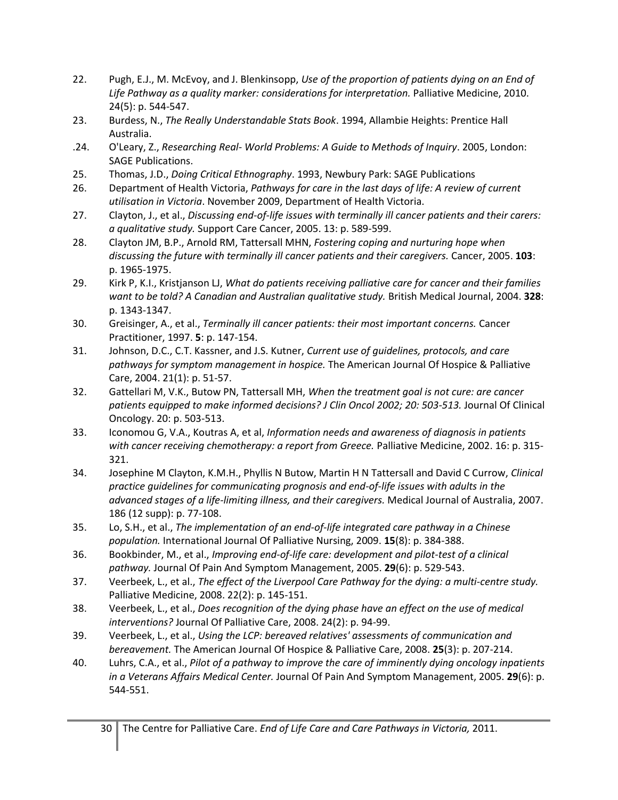- <span id="page-29-0"></span>22. Pugh, E.J., M. McEvoy, and J. Blenkinsopp, *Use of the proportion of patients dying on an End of Life Pathway as a quality marker: considerations for interpretation.* Palliative Medicine, 2010. 24(5): p. 544-547.
- <span id="page-29-1"></span>23. Burdess, N., *The Really Understandable Stats Book*. 1994, Allambie Heights: Prentice Hall Australia.
- .24. O'Leary, Z., *Researching Real- World Problems: A Guide to Methods of Inquiry*. 2005, London: SAGE Publications.
- 25. Thomas, J.D., *Doing Critical Ethnography*. 1993, Newbury Park: SAGE Publications
- <span id="page-29-2"></span>26. Department of Health Victoria, *Pathways for care in the last days of life: A review of current utilisation in Victoria*. November 2009, Department of Health Victoria.
- <span id="page-29-3"></span>27. Clayton, J., et al., *Discussing end-of-life issues with terminally ill cancer patients and their carers: a qualitative study.* Support Care Cancer, 2005. 13: p. 589-599.
- 28. Clayton JM, B.P., Arnold RM, Tattersall MHN, *Fostering coping and nurturing hope when discussing the future with terminally ill cancer patients and their caregivers.* Cancer, 2005. **103**: p. 1965-1975.
- 29. Kirk P, K.I., Kristjanson LJ, *What do patients receiving palliative care for cancer and their families want to be told? A Canadian and Australian qualitative study.* British Medical Journal, 2004. **328**: p. 1343-1347.
- 30. Greisinger, A., et al., *Terminally ill cancer patients: their most important concerns.* Cancer Practitioner, 1997. **5**: p. 147-154.
- 31. Johnson, D.C., C.T. Kassner, and J.S. Kutner, *Current use of guidelines, protocols, and care pathways for symptom management in hospice.* The American Journal Of Hospice & Palliative Care, 2004. 21(1): p. 51-57.
- 32. Gattellari M, V.K., Butow PN, Tattersall MH, *When the treatment goal is not cure: are cancer patients equipped to make informed decisions? J Clin Oncol 2002; 20: 503-513.* Journal Of Clinical Oncology. 20: p. 503-513.
- 33. Iconomou G, V.A., Koutras A, et al, *Information needs and awareness of diagnosis in patients with cancer receiving chemotherapy: a report from Greece.* Palliative Medicine, 2002. 16: p. 315- 321.
- 34. Josephine M Clayton, K.M.H., Phyllis N Butow, Martin H N Tattersall and David C Currow, *Clinical practice guidelines for communicating prognosis and end-of-life issues with adults in the advanced stages of a life-limiting illness, and their caregivers.* Medical Journal of Australia, 2007. 186 (12 supp): p. 77-108.
- <span id="page-29-4"></span>35. Lo, S.H., et al., *The implementation of an end-of-life integrated care pathway in a Chinese population.* International Journal Of Palliative Nursing, 2009. **15**(8): p. 384-388.
- <span id="page-29-5"></span>36. Bookbinder, M., et al., *Improving end-of-life care: development and pilot-test of a clinical pathway.* Journal Of Pain And Symptom Management, 2005. **29**(6): p. 529-543.
- 37. Veerbeek, L., et al., *The effect of the Liverpool Care Pathway for the dying: a multi-centre study.* Palliative Medicine, 2008. 22(2): p. 145-151.
- 38. Veerbeek, L., et al., *Does recognition of the dying phase have an effect on the use of medical interventions?* Journal Of Palliative Care, 2008. 24(2): p. 94-99.
- 39. Veerbeek, L., et al., *Using the LCP: bereaved relatives' assessments of communication and bereavement.* The American Journal Of Hospice & Palliative Care, 2008. **25**(3): p. 207-214.
- 40. Luhrs, C.A., et al., *Pilot of a pathway to improve the care of imminently dying oncology inpatients in a Veterans Affairs Medical Center.* Journal Of Pain And Symptom Management, 2005. **29**(6): p. 544-551.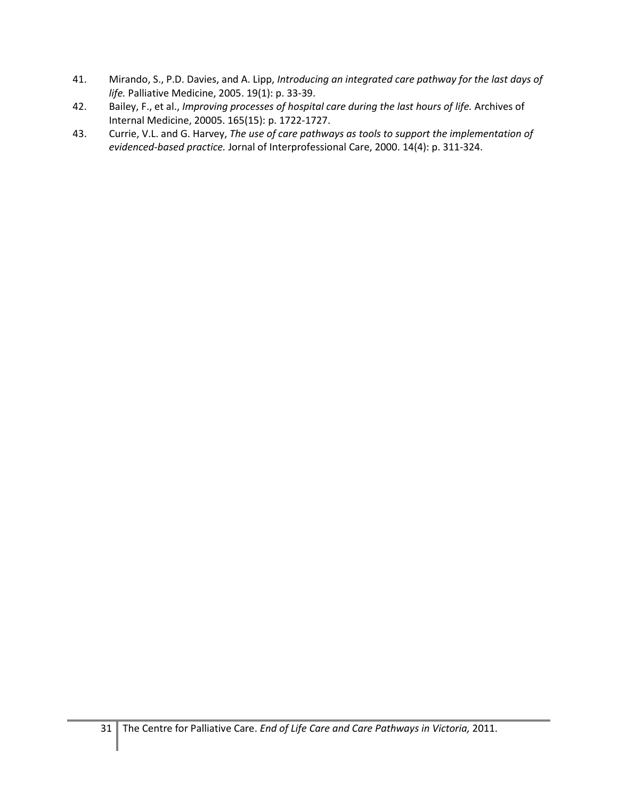- <span id="page-30-0"></span>41. Mirando, S., P.D. Davies, and A. Lipp, *Introducing an integrated care pathway for the last days of life.* Palliative Medicine, 2005. 19(1): p. 33-39.
- 42. Bailey, F., et al., *Improving processes of hospital care during the last hours of life.* Archives of Internal Medicine, 20005. 165(15): p. 1722-1727.
- 43. Currie, V.L. and G. Harvey, *The use of care pathways as tools to support the implementation of evidenced-based practice.* Jornal of Interprofessional Care, 2000. 14(4): p. 311-324.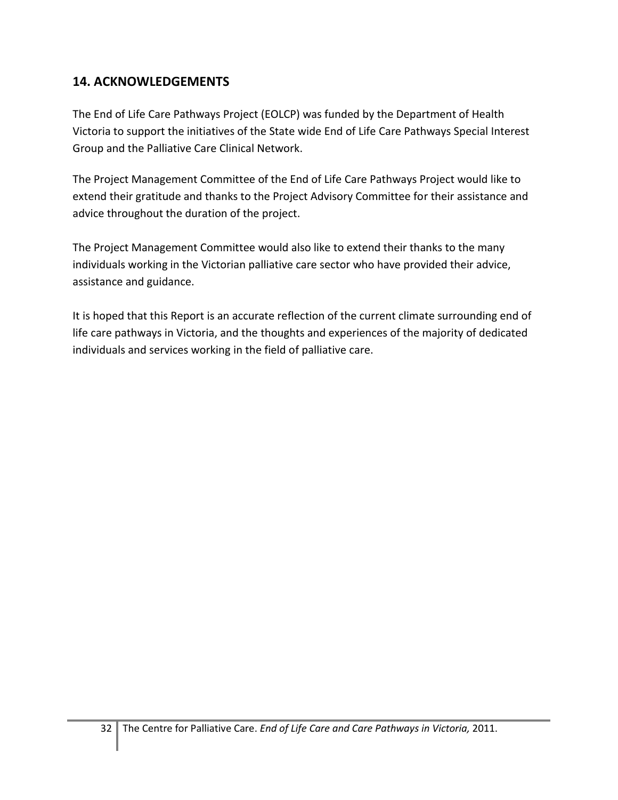# **14. ACKNOWLEDGEMENTS**

The End of Life Care Pathways Project (EOLCP) was funded by the Department of Health Victoria to support the initiatives of the State wide End of Life Care Pathways Special Interest Group and the Palliative Care Clinical Network.

The Project Management Committee of the End of Life Care Pathways Project would like to extend their gratitude and thanks to the Project Advisory Committee for their assistance and advice throughout the duration of the project.

The Project Management Committee would also like to extend their thanks to the many individuals working in the Victorian palliative care sector who have provided their advice, assistance and guidance.

It is hoped that this Report is an accurate reflection of the current climate surrounding end of life care pathways in Victoria, and the thoughts and experiences of the majority of dedicated individuals and services working in the field of palliative care.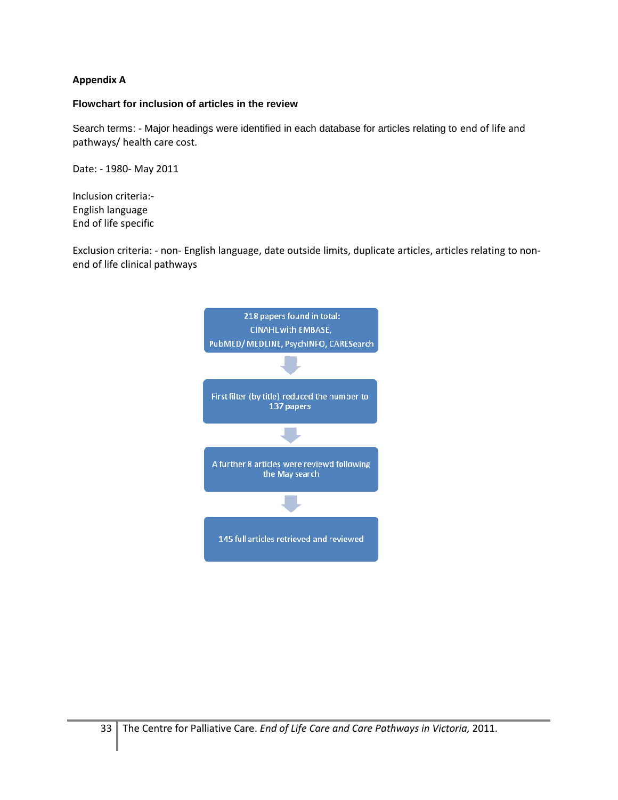#### **Appendix A**

#### **Flowchart for inclusion of articles in the review**

Search terms: - Major headings were identified in each database for articles relating to end of life and pathways/ health care cost.

Date: - 1980- May 2011

Inclusion criteria:- English language End of life specific

Exclusion criteria: - non- English language, date outside limits, duplicate articles, articles relating to nonend of life clinical pathways

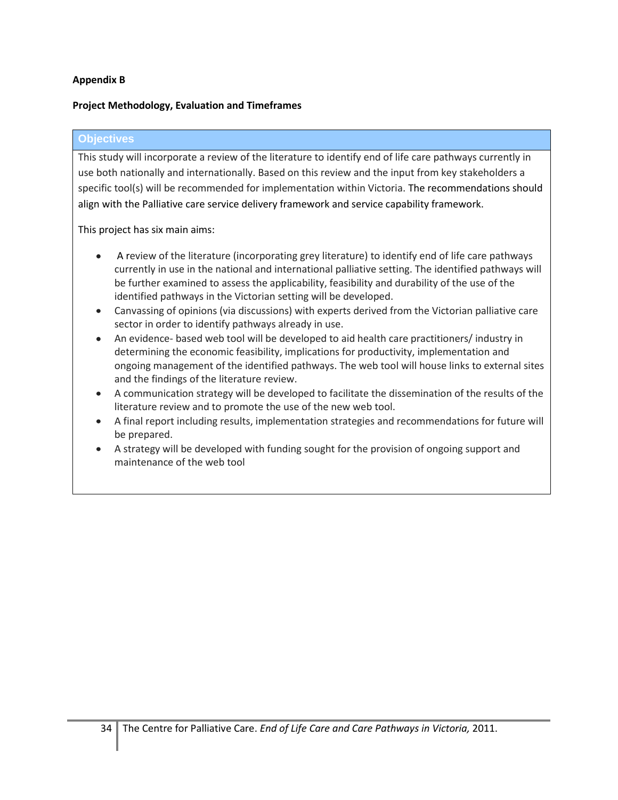#### **Appendix B**

#### **Project Methodology, Evaluation and Timeframes**

#### **Objectives**

This study will incorporate a review of the literature to identify end of life care pathways currently in use both nationally and internationally. Based on this review and the input from key stakeholders a specific tool(s) will be recommended for implementation within Victoria. The recommendations should align with the Palliative care service delivery framework and service capability framework.

This project has six main aims:

- A review of the literature (incorporating grey literature) to identify end of life care pathways currently in use in the national and international palliative setting. The identified pathways will be further examined to assess the applicability, feasibility and durability of the use of the identified pathways in the Victorian setting will be developed.
- Canvassing of opinions (via discussions) with experts derived from the Victorian palliative care sector in order to identify pathways already in use.
- An evidence- based web tool will be developed to aid health care practitioners/ industry in determining the economic feasibility, implications for productivity, implementation and ongoing management of the identified pathways. The web tool will house links to external sites and the findings of the literature review.
- A communication strategy will be developed to facilitate the dissemination of the results of the literature review and to promote the use of the new web tool.
- A final report including results, implementation strategies and recommendations for future will be prepared.
- A strategy will be developed with funding sought for the provision of ongoing support and maintenance of the web tool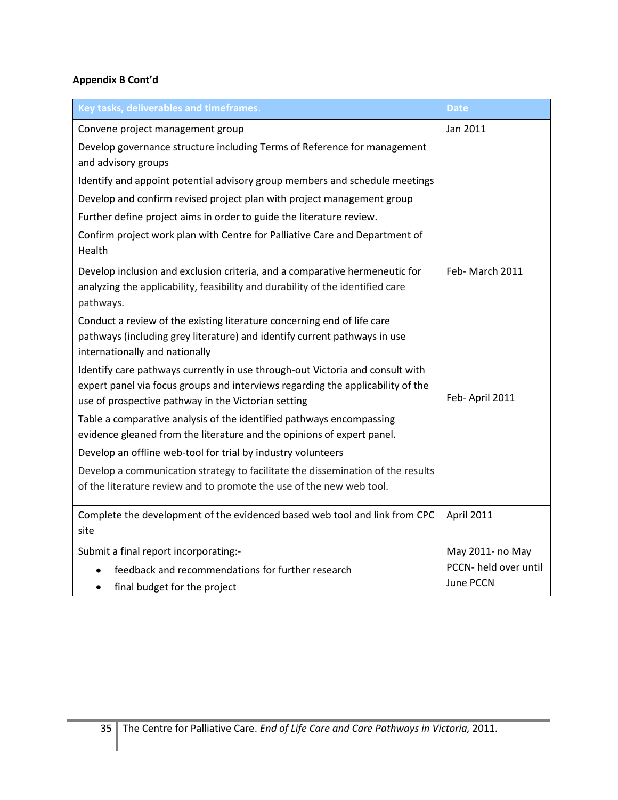| Key tasks, deliverables and timeframes.                                                                                                                       | <b>Date</b>           |
|---------------------------------------------------------------------------------------------------------------------------------------------------------------|-----------------------|
| Convene project management group                                                                                                                              | Jan 2011              |
| Develop governance structure including Terms of Reference for management                                                                                      |                       |
| and advisory groups                                                                                                                                           |                       |
| Identify and appoint potential advisory group members and schedule meetings                                                                                   |                       |
| Develop and confirm revised project plan with project management group                                                                                        |                       |
| Further define project aims in order to guide the literature review.                                                                                          |                       |
| Confirm project work plan with Centre for Palliative Care and Department of<br>Health                                                                         |                       |
|                                                                                                                                                               | Feb-March 2011        |
| Develop inclusion and exclusion criteria, and a comparative hermeneutic for<br>analyzing the applicability, feasibility and durability of the identified care |                       |
| pathways.                                                                                                                                                     |                       |
| Conduct a review of the existing literature concerning end of life care                                                                                       |                       |
| pathways (including grey literature) and identify current pathways in use                                                                                     |                       |
| internationally and nationally                                                                                                                                |                       |
| Identify care pathways currently in use through-out Victoria and consult with                                                                                 |                       |
| expert panel via focus groups and interviews regarding the applicability of the<br>use of prospective pathway in the Victorian setting                        | Feb-April 2011        |
| Table a comparative analysis of the identified pathways encompassing                                                                                          |                       |
| evidence gleaned from the literature and the opinions of expert panel.                                                                                        |                       |
| Develop an offline web-tool for trial by industry volunteers                                                                                                  |                       |
| Develop a communication strategy to facilitate the dissemination of the results                                                                               |                       |
| of the literature review and to promote the use of the new web tool.                                                                                          |                       |
| Complete the development of the evidenced based web tool and link from CPC                                                                                    | April 2011            |
| site                                                                                                                                                          |                       |
| Submit a final report incorporating:-                                                                                                                         | May 2011- no May      |
| feedback and recommendations for further research                                                                                                             | PCCN- held over until |
| final budget for the project<br>٠                                                                                                                             | June PCCN             |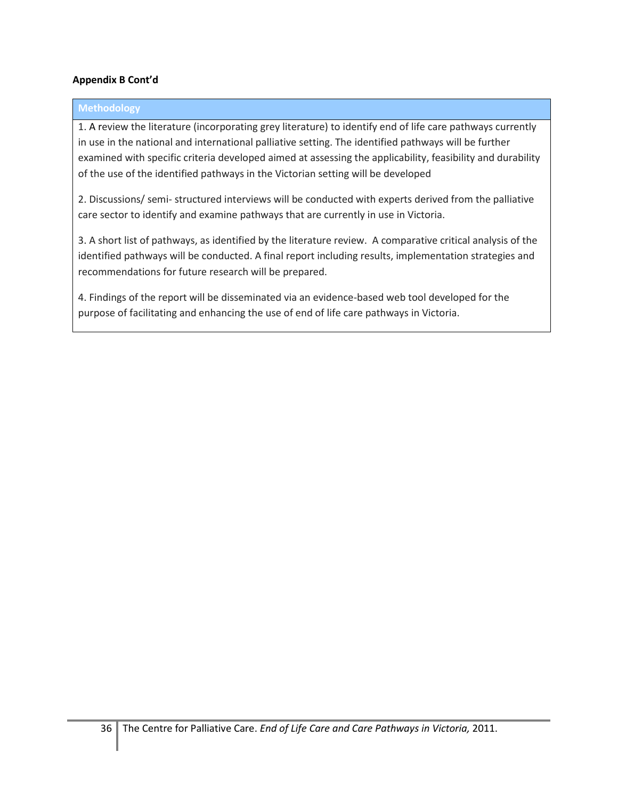#### **Methodology**

1. A review the literature (incorporating grey literature) to identify end of life care pathways currently in use in the national and international palliative setting. The identified pathways will be further examined with specific criteria developed aimed at assessing the applicability, feasibility and durability of the use of the identified pathways in the Victorian setting will be developed

2. Discussions/ semi- structured interviews will be conducted with experts derived from the palliative care sector to identify and examine pathways that are currently in use in Victoria.

3. A short list of pathways, as identified by the literature review. A comparative critical analysis of the identified pathways will be conducted. A final report including results, implementation strategies and recommendations for future research will be prepared.

4. Findings of the report will be disseminated via an evidence-based web tool developed for the purpose of facilitating and enhancing the use of end of life care pathways in Victoria.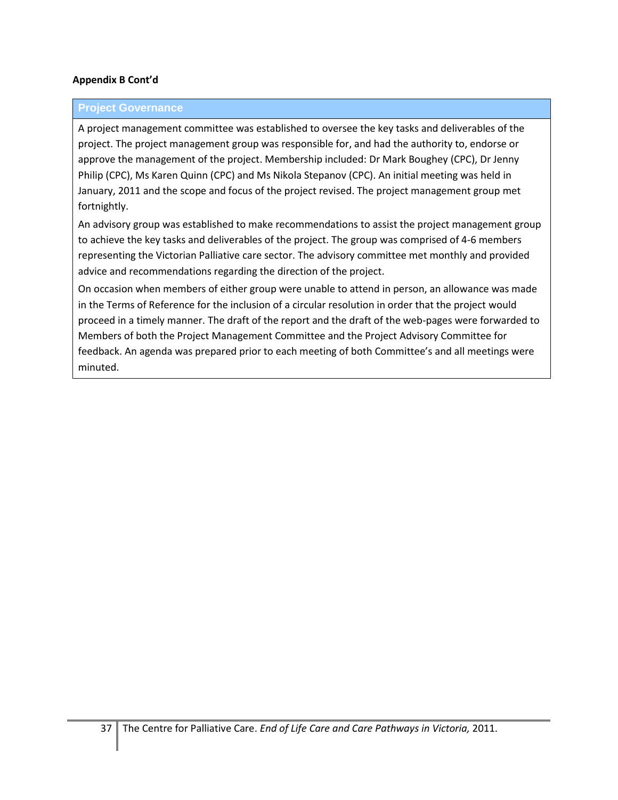#### **Project Governance**

A project management committee was established to oversee the key tasks and deliverables of the project. The project management group was responsible for, and had the authority to, endorse or approve the management of the project. Membership included: Dr Mark Boughey (CPC), Dr Jenny Philip (CPC), Ms Karen Quinn (CPC) and Ms Nikola Stepanov (CPC). An initial meeting was held in January, 2011 and the scope and focus of the project revised. The project management group met fortnightly.

An advisory group was established to make recommendations to assist the project management group to achieve the key tasks and deliverables of the project. The group was comprised of 4-6 members representing the Victorian Palliative care sector. The advisory committee met monthly and provided advice and recommendations regarding the direction of the project.

On occasion when members of either group were unable to attend in person, an allowance was made in the Terms of Reference for the inclusion of a circular resolution in order that the project would proceed in a timely manner. The draft of the report and the draft of the web-pages were forwarded to Members of both the Project Management Committee and the Project Advisory Committee for feedback. An agenda was prepared prior to each meeting of both Committee's and all meetings were minuted.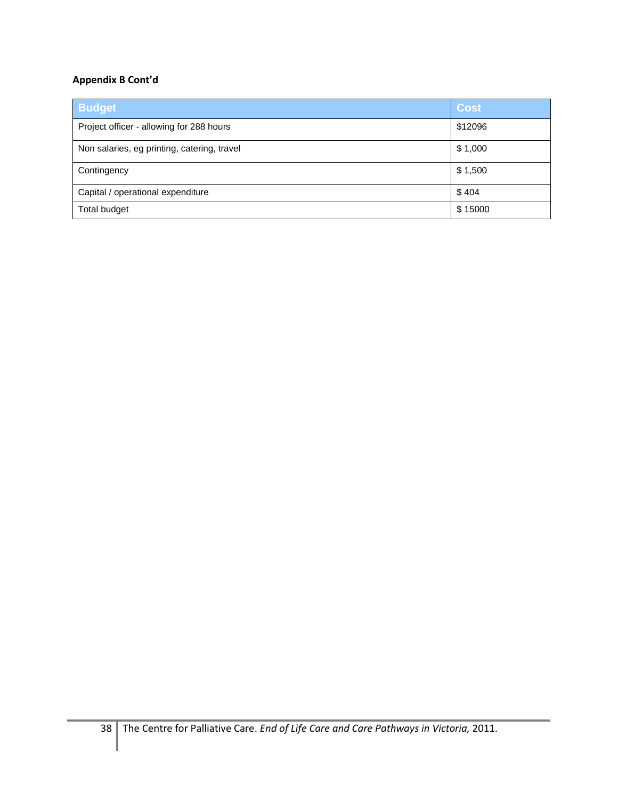| <b>Budget</b>                               | <b>Cost</b> |
|---------------------------------------------|-------------|
| Project officer - allowing for 288 hours    | \$12096     |
| Non salaries, eg printing, catering, travel | \$1,000     |
| Contingency                                 | \$1,500     |
| Capital / operational expenditure           | \$404       |
| Total budget                                | \$15000     |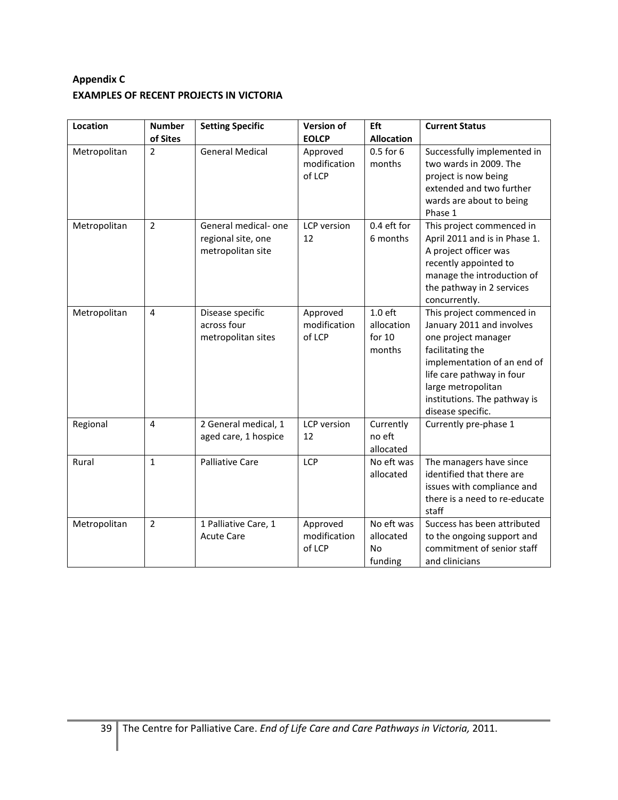### **Appendix C EXAMPLES OF RECENT PROJECTS IN VICTORIA**

| Location     | <b>Number</b>  | <b>Setting Specific</b>                                        | <b>Version of</b>                  | Eft                                             | <b>Current Status</b>                                                                                                                                                                                                                    |
|--------------|----------------|----------------------------------------------------------------|------------------------------------|-------------------------------------------------|------------------------------------------------------------------------------------------------------------------------------------------------------------------------------------------------------------------------------------------|
|              | of Sites       |                                                                | <b>EOLCP</b>                       | <b>Allocation</b>                               |                                                                                                                                                                                                                                          |
| Metropolitan | $\overline{2}$ | <b>General Medical</b>                                         | Approved<br>modification<br>of LCP | 0.5 for 6<br>months                             | Successfully implemented in<br>two wards in 2009. The<br>project is now being<br>extended and two further<br>wards are about to being<br>Phase 1                                                                                         |
| Metropolitan | $\overline{2}$ | General medical-one<br>regional site, one<br>metropolitan site | <b>LCP</b> version<br>12           | 0.4 eft for<br>6 months                         | This project commenced in<br>April 2011 and is in Phase 1.<br>A project officer was<br>recently appointed to<br>manage the introduction of<br>the pathway in 2 services<br>concurrently.                                                 |
| Metropolitan | $\overline{4}$ | Disease specific<br>across four<br>metropolitan sites          | Approved<br>modification<br>of LCP | $1.0$ eft<br>allocation<br>for $10$<br>months   | This project commenced in<br>January 2011 and involves<br>one project manager<br>facilitating the<br>implementation of an end of<br>life care pathway in four<br>large metropolitan<br>institutions. The pathway is<br>disease specific. |
| Regional     | $\overline{4}$ | 2 General medical, 1<br>aged care, 1 hospice                   | LCP version<br>12                  | Currently<br>no eft<br>allocated                | Currently pre-phase 1                                                                                                                                                                                                                    |
| Rural        | $\mathbf{1}$   | <b>Palliative Care</b>                                         | LCP                                | No eft was<br>allocated                         | The managers have since<br>identified that there are<br>issues with compliance and<br>there is a need to re-educate<br>staff                                                                                                             |
| Metropolitan | $\overline{2}$ | 1 Palliative Care, 1<br><b>Acute Care</b>                      | Approved<br>modification<br>of LCP | No eft was<br>allocated<br><b>No</b><br>funding | Success has been attributed<br>to the ongoing support and<br>commitment of senior staff<br>and clinicians                                                                                                                                |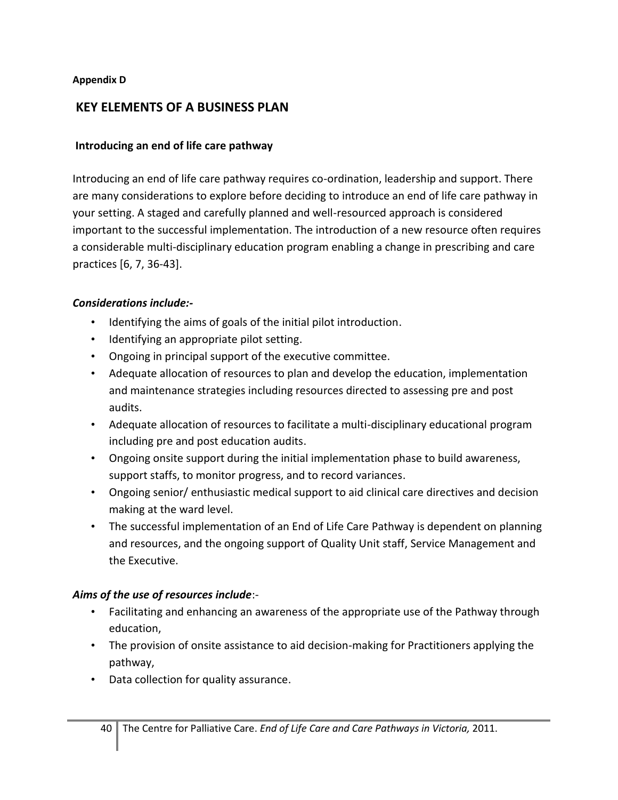#### **Appendix D**

## **KEY ELEMENTS OF A BUSINESS PLAN**

### **Introducing an end of life care pathway**

Introducing an end of life care pathway requires co-ordination, leadership and support. There are many considerations to explore before deciding to introduce an end of life care pathway in your setting. A staged and carefully planned and well-resourced approach is considered important to the successful implementation. The introduction of a new resource often requires a considerable multi-disciplinary education program enabling a change in prescribing and care practices [\[6,](#page-28-3) [7,](#page-28-4) [36-43\]](#page-29-5).

### *Considerations include:-*

- Identifying the aims of goals of the initial pilot introduction.
- Identifying an appropriate pilot setting.
- Ongoing in principal support of the executive committee.
- Adequate allocation of resources to plan and develop the education, implementation and maintenance strategies including resources directed to assessing pre and post audits.
- Adequate allocation of resources to facilitate a multi-disciplinary educational program including pre and post education audits.
- Ongoing onsite support during the initial implementation phase to build awareness, support staffs, to monitor progress, and to record variances.
- Ongoing senior/ enthusiastic medical support to aid clinical care directives and decision making at the ward level.
- The successful implementation of an End of Life Care Pathway is dependent on planning and resources, and the ongoing support of Quality Unit staff, Service Management and the Executive.

### *Aims of the use of resources include*:-

- Facilitating and enhancing an awareness of the appropriate use of the Pathway through education,
- The provision of onsite assistance to aid decision-making for Practitioners applying the pathway,
- Data collection for quality assurance.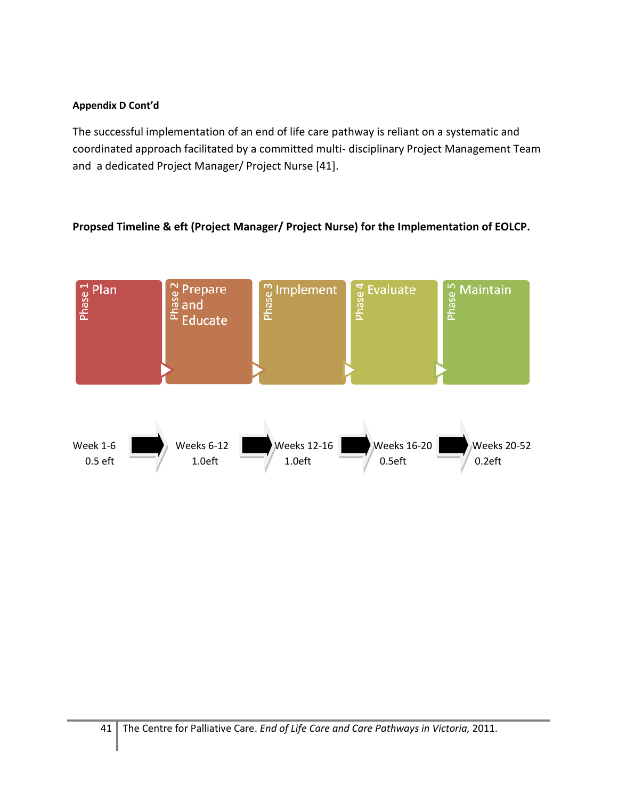The successful implementation of an end of life care pathway is reliant on a systematic and coordinated approach facilitated by a committed multi- disciplinary Project Management Team and a dedicated Project Manager/ Project Nurse [\[41\]](#page-30-0).

### **Propsed Timeline & eft (Project Manager/ Project Nurse) for the Implementation of EOLCP.**

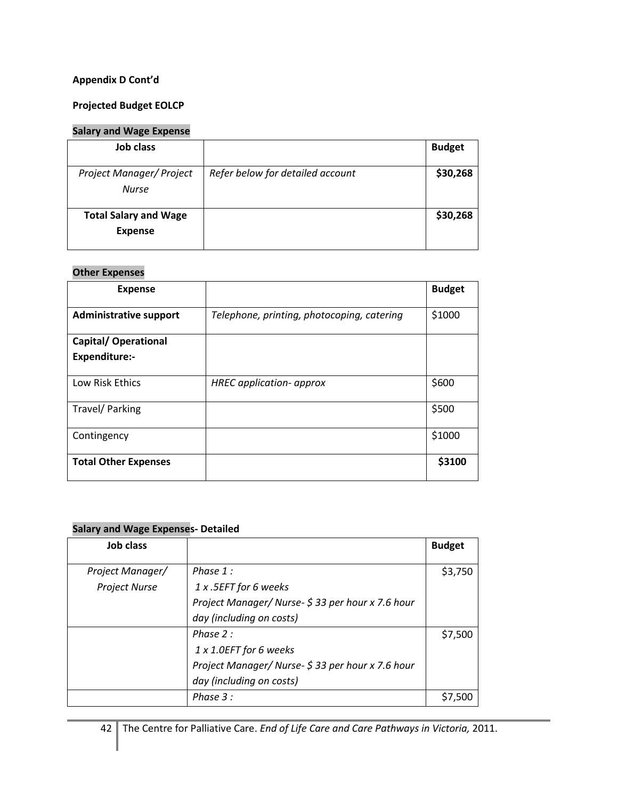#### **Projected Budget EOLCP**

### **Salary and Wage Expense**

| Job class                                      |                                  | <b>Budget</b> |
|------------------------------------------------|----------------------------------|---------------|
| Project Manager/ Project<br><b>Nurse</b>       | Refer below for detailed account | \$30,268      |
| <b>Total Salary and Wage</b><br><b>Expense</b> |                                  | \$30,268      |

#### **Other Expenses**

| <b>Expense</b>                |                                            | <b>Budget</b> |
|-------------------------------|--------------------------------------------|---------------|
| <b>Administrative support</b> | Telephone, printing, photocoping, catering | \$1000        |
| <b>Capital/ Operational</b>   |                                            |               |
| <b>Expenditure:-</b>          |                                            |               |
| Low Risk Ethics               | <b>HREC</b> application- approx            | \$600         |
| Travel/ Parking               |                                            | \$500         |
| Contingency                   |                                            | \$1000        |
| <b>Total Other Expenses</b>   |                                            | \$3100        |

#### **Salary and Wage Expenses- Detailed**

| <b>Job class</b>     |                                                   | <b>Budget</b> |
|----------------------|---------------------------------------------------|---------------|
| Project Manager/     | Phase 1:                                          | \$3,750       |
| <b>Project Nurse</b> | 1 x .5EFT for 6 weeks                             |               |
|                      | Project Manager/ Nurse- \$33 per hour x 7.6 hour  |               |
|                      | day (including on costs)                          |               |
|                      | Phase 2:                                          | \$7.500       |
|                      | 1 x 1.0EFT for 6 weeks                            |               |
|                      | Project Manager/ Nurse- \$ 33 per hour x 7.6 hour |               |
|                      | day (including on costs)                          |               |
|                      | Phase 3 :                                         | \$7.500       |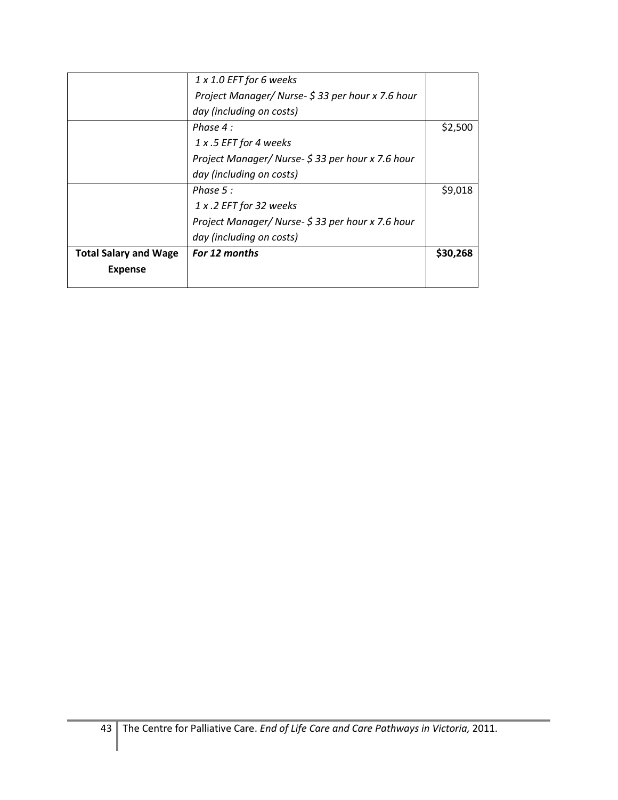|                              | 1 x 1.0 EFT for 6 weeks                           |          |
|------------------------------|---------------------------------------------------|----------|
|                              | Project Manager/ Nurse- \$33 per hour x 7.6 hour  |          |
|                              | day (including on costs)                          |          |
|                              | Phase 4 :                                         | \$2,500  |
|                              | 1 x .5 EFT for 4 weeks                            |          |
|                              | Project Manager/ Nurse- \$ 33 per hour x 7.6 hour |          |
|                              | day (including on costs)                          |          |
|                              | Phase 5 :                                         | \$9,018  |
|                              | 1 x .2 EFT for 32 weeks                           |          |
|                              | Project Manager/ Nurse- \$33 per hour x 7.6 hour  |          |
|                              | day (including on costs)                          |          |
| <b>Total Salary and Wage</b> | For 12 months                                     | \$30,268 |
| <b>Expense</b>               |                                                   |          |
|                              |                                                   |          |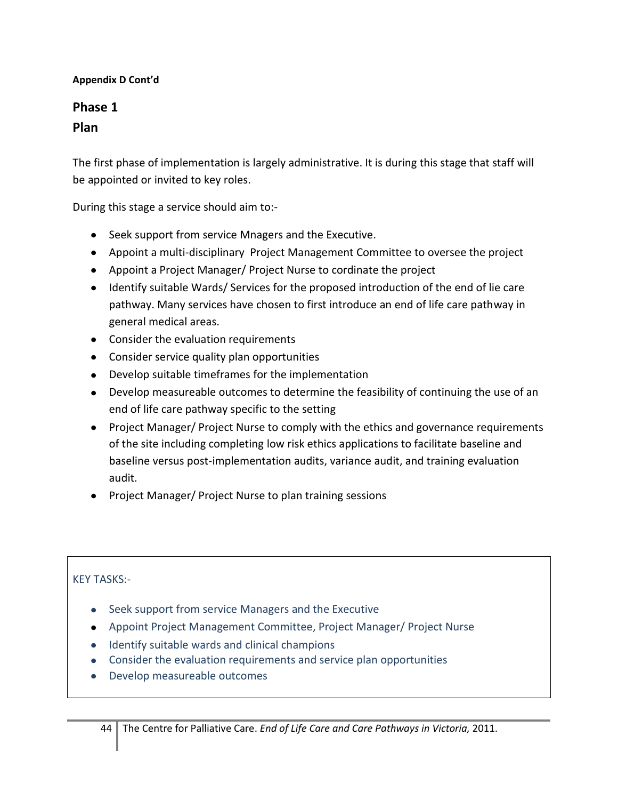# **Phase 1 Plan**

The first phase of implementation is largely administrative. It is during this stage that staff will be appointed or invited to key roles.

During this stage a service should aim to:-

- Seek support from service Mnagers and the Executive.
- Appoint a multi-disciplinary Project Management Committee to oversee the project
- Appoint a Project Manager/ Project Nurse to cordinate the project
- Identify suitable Wards/ Services for the proposed introduction of the end of lie care pathway. Many services have chosen to first introduce an end of life care pathway in general medical areas.
- Consider the evaluation requirements
- Consider service quality plan opportunities
- Develop suitable timeframes for the implementation
- Develop measureable outcomes to determine the feasibility of continuing the use of an end of life care pathway specific to the setting
- Project Manager/ Project Nurse to comply with the ethics and governance requirements of the site including completing low risk ethics applications to facilitate baseline and baseline versus post-implementation audits, variance audit, and training evaluation audit.
- Project Manager/ Project Nurse to plan training sessions

- Seek support from service Managers and the Executive
- Appoint Project Management Committee, Project Manager/ Project Nurse
- Identify suitable wards and clinical champions
- Consider the evaluation requirements and service plan opportunities
- Develop measureable outcomes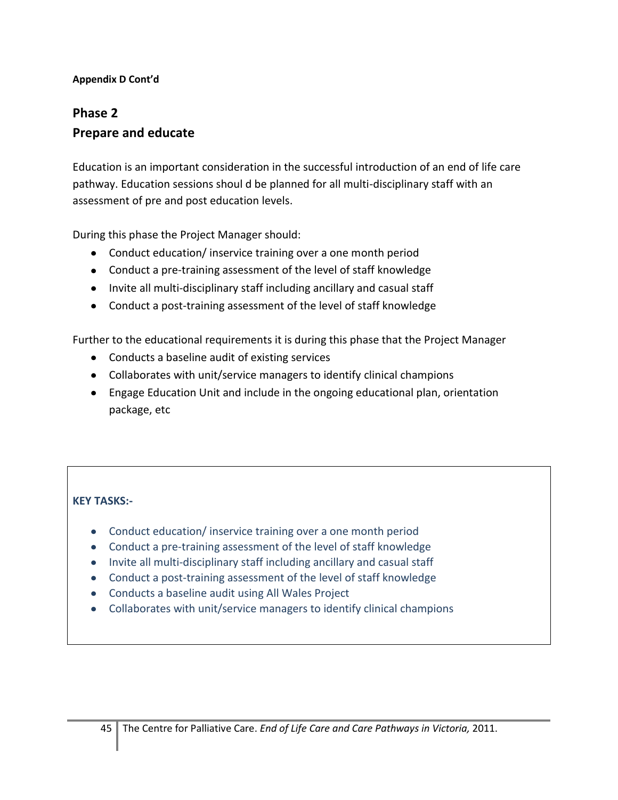# **Phase 2 Prepare and educate**

Education is an important consideration in the successful introduction of an end of life care pathway. Education sessions shoul d be planned for all multi-disciplinary staff with an assessment of pre and post education levels.

During this phase the Project Manager should:

- Conduct education/ inservice training over a one month period
- Conduct a pre-training assessment of the level of staff knowledge
- Invite all multi-disciplinary staff including ancillary and casual staff
- Conduct a post-training assessment of the level of staff knowledge

Further to the educational requirements it is during this phase that the Project Manager

- Conducts a baseline audit of existing services
- Collaborates with unit/service managers to identify clinical champions
- Engage Education Unit and include in the ongoing educational plan, orientation package, etc

- Conduct education/ inservice training over a one month period
- Conduct a pre-training assessment of the level of staff knowledge
- Invite all multi-disciplinary staff including ancillary and casual staff
- Conduct a post-training assessment of the level of staff knowledge
- Conducts a baseline audit using All Wales Project
- Collaborates with unit/service managers to identify clinical champions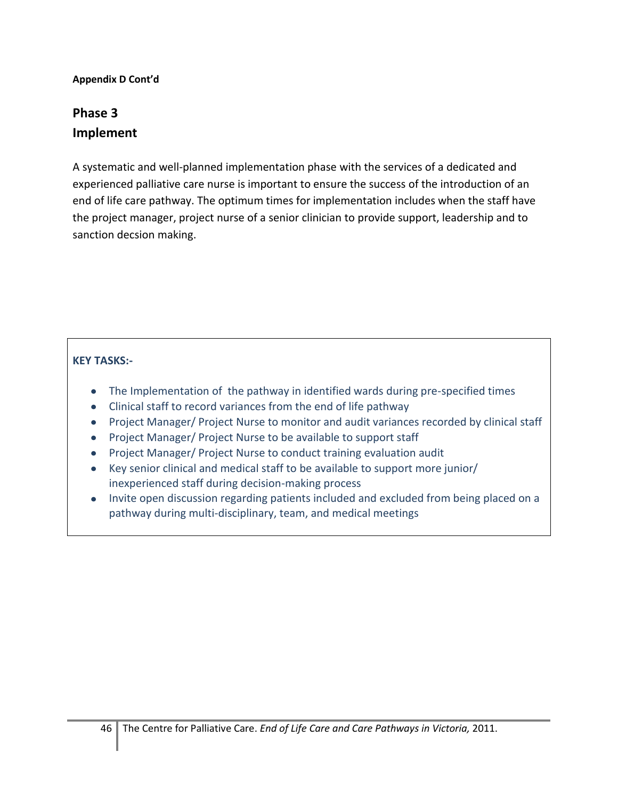# **Phase 3 Implement**

A systematic and well-planned implementation phase with the services of a dedicated and experienced palliative care nurse is important to ensure the success of the introduction of an end of life care pathway. The optimum times for implementation includes when the staff have the project manager, project nurse of a senior clinician to provide support, leadership and to sanction decsion making.

- The Implementation of the pathway in identified wards during pre-specified times
- Clinical staff to record variances from the end of life pathway
- Project Manager/ Project Nurse to monitor and audit variances recorded by clinical staff
- Project Manager/ Project Nurse to be available to support staff
- Project Manager/ Project Nurse to conduct training evaluation audit
- Key senior clinical and medical staff to be available to support more junior/ inexperienced staff during decision-making process
- Invite open discussion regarding patients included and excluded from being placed on a pathway during multi-disciplinary, team, and medical meetings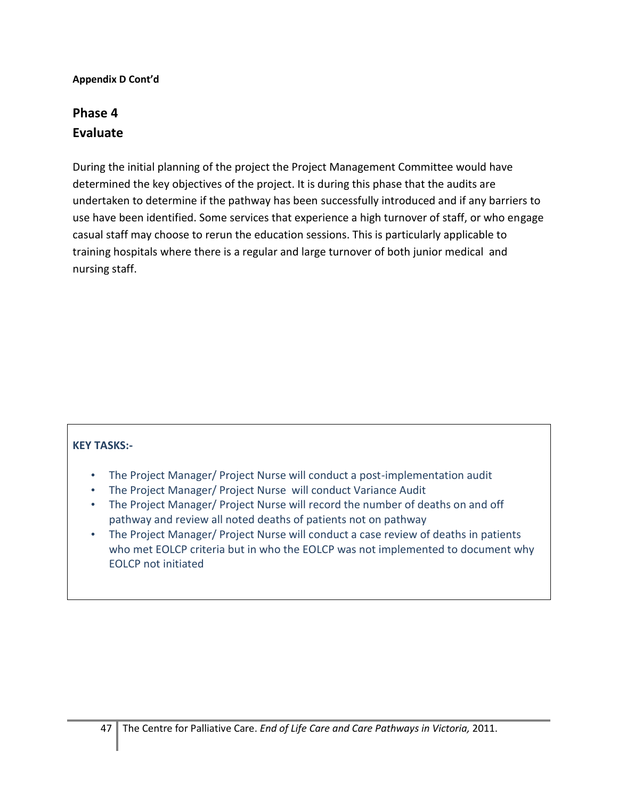# **Phase 4 Evaluate**

During the initial planning of the project the Project Management Committee would have determined the key objectives of the project. It is during this phase that the audits are undertaken to determine if the pathway has been successfully introduced and if any barriers to use have been identified. Some services that experience a high turnover of staff, or who engage casual staff may choose to rerun the education sessions. This is particularly applicable to training hospitals where there is a regular and large turnover of both junior medical and nursing staff.

- The Project Manager/ Project Nurse will conduct a post-implementation audit
- The Project Manager/ Project Nurse will conduct Variance Audit
- The Project Manager/ Project Nurse will record the number of deaths on and off pathway and review all noted deaths of patients not on pathway
- The Project Manager/ Project Nurse will conduct a case review of deaths in patients who met EOLCP criteria but in who the EOLCP was not implemented to document why EOLCP not initiated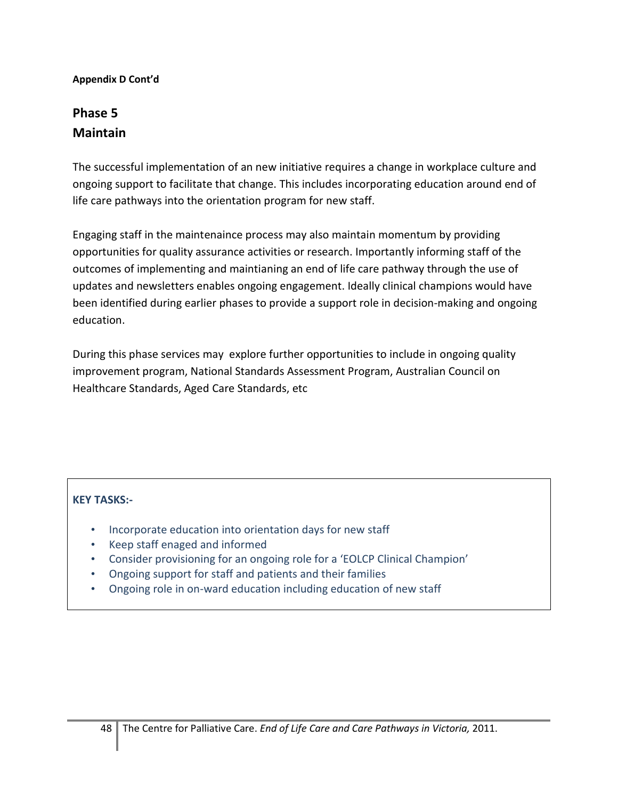# **Phase 5 Maintain**

The successful implementation of an new initiative requires a change in workplace culture and ongoing support to facilitate that change. This includes incorporating education around end of life care pathways into the orientation program for new staff.

Engaging staff in the maintenaince process may also maintain momentum by providing opportunities for quality assurance activities or research. Importantly informing staff of the outcomes of implementing and maintianing an end of life care pathway through the use of updates and newsletters enables ongoing engagement. Ideally clinical champions would have been identified during earlier phases to provide a support role in decision-making and ongoing education.

During this phase services may explore further opportunities to include in ongoing quality improvement program, National Standards Assessment Program, Australian Council on Healthcare Standards, Aged Care Standards, etc

- Incorporate education into orientation days for new staff
- Keep staff enaged and informed
- Consider provisioning for an ongoing role for a 'EOLCP Clinical Champion'
- Ongoing support for staff and patients and their families
- Ongoing role in on-ward education including education of new staff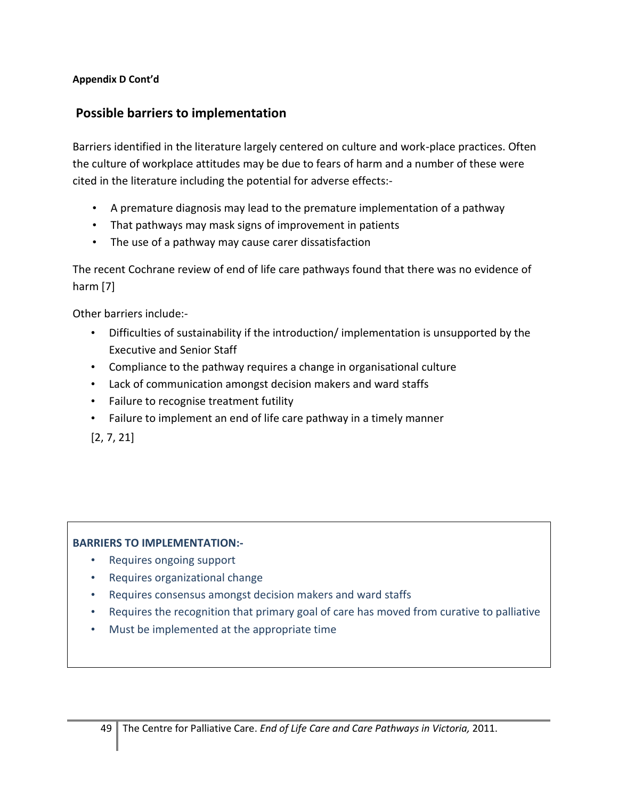# **Possible barriers to implementation**

Barriers identified in the literature largely centered on culture and work-place practices. Often the culture of workplace attitudes may be due to fears of harm and a number of these were cited in the literature including the potential for adverse effects:-

- A premature diagnosis may lead to the premature implementation of a pathway
- That pathways may mask signs of improvement in patients
- The use of a pathway may cause carer dissatisfaction

The recent Cochrane review of end of life care pathways found that there was no evidence of harm [\[7\]](#page-28-4)

Other barriers include:-

- Difficulties of sustainability if the introduction/ implementation is unsupported by the Executive and Senior Staff
- Compliance to the pathway requires a change in organisational culture
- Lack of communication amongst decision makers and ward staffs
- Failure to recognise treatment futility
- Failure to implement an end of life care pathway in a timely manner

[\[2,](#page-28-1) [7,](#page-28-4) [21\]](#page-28-13)

### **BARRIERS TO IMPLEMENTATION:-**

- Requires ongoing support
- Requires organizational change
- Requires consensus amongst decision makers and ward staffs
- Requires the recognition that primary goal of care has moved from curative to palliative
- Must be implemented at the appropriate time